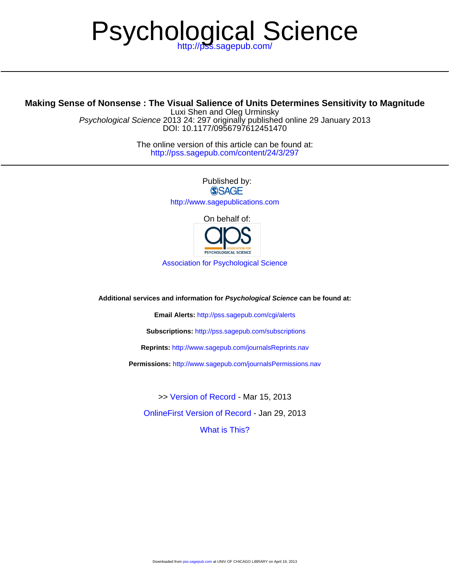# Psychological Science

# **Making Sense of Nonsense : The Visual Salience of Units Determines Sensitivity to Magnitude**

DOI: 10.1177/0956797612451470 Psychological Science 2013 24: 297 originally published online 29 January 2013 Luxi Shen and Oleg Urminsky

> <http://pss.sagepub.com/content/24/3/297> The online version of this article can be found at:

> > Published by:<br>
> > SAGE <http://www.sagepublications.com> On behalf of:



[Association for Psychological Science](http://www.psychologicalscience.org/)

**Additional services and information for Psychological Science can be found at:**

**Email Alerts:** <http://pss.sagepub.com/cgi/alerts>

**Subscriptions:** <http://pss.sagepub.com/subscriptions>

**Reprints:** <http://www.sagepub.com/journalsReprints.nav>

**Permissions:** <http://www.sagepub.com/journalsPermissions.nav>

[OnlineFirst Version of Record -](http://pss.sagepub.com/content/early/2013/01/29/0956797612451470.full.pdf) Jan 29, 2013 >> [Version of Record -](http://pss.sagepub.com/content/24/3/297.full.pdf) Mar 15, 2013

[What is This?](http://online.sagepub.com/site/sphelp/vorhelp.xhtml)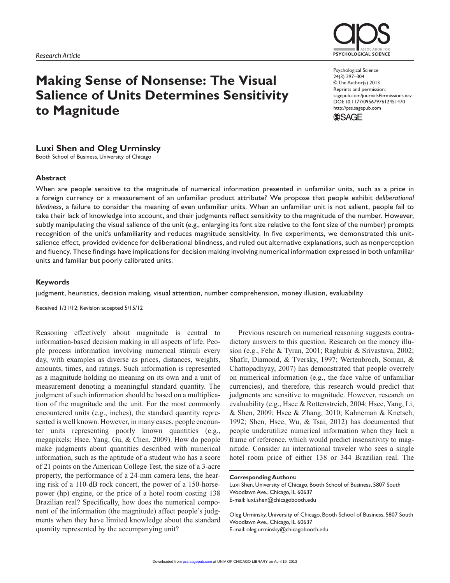# **Making Sense of Nonsense: The Visual Salience of Units Determines Sensitivity to Magnitude**

Psychological Science 24(3) 297–304 © The Author(s) 2013 Reprints and permission: sagepub.com/journalsPermissions.nav DOI: 10.1177/0956797612451470 http://pss.sagepub.com

**PSYCHOLOGICAL SCIENCE** 



#### **Luxi Shen and Oleg Urminsky**

Booth School of Business, University of Chicago

#### **Abstract**

When are people sensitive to the magnitude of numerical information presented in unfamiliar units, such as a price in a foreign currency or a measurement of an unfamiliar product attribute? We propose that people exhibit *deliberational blindness*, a failure to consider the meaning of even unfamiliar units. When an unfamiliar unit is not salient, people fail to take their lack of knowledge into account, and their judgments reflect sensitivity to the magnitude of the number. However, subtly manipulating the visual salience of the unit (e.g., enlarging its font size relative to the font size of the number) prompts recognition of the unit's unfamiliarity and reduces magnitude sensitivity. In five experiments, we demonstrated this unitsalience effect, provided evidence for deliberational blindness, and ruled out alternative explanations, such as nonperception and fluency. These findings have implications for decision making involving numerical information expressed in both unfamiliar units and familiar but poorly calibrated units.

#### **Keywords**

judgment, heuristics, decision making, visual attention, number comprehension, money illusion, evaluability

Received 1/31/12; Revision accepted 5/15/12

Reasoning effectively about magnitude is central to information-based decision making in all aspects of life. People process information involving numerical stimuli every day, with examples as diverse as prices, distances, weights, amounts, times, and ratings. Such information is represented as a magnitude holding no meaning on its own and a unit of measurement denoting a meaningful standard quantity. The judgment of such information should be based on a multiplication of the magnitude and the unit. For the most commonly encountered units (e.g., inches), the standard quantity represented is well known. However, in many cases, people encounter units representing poorly known quantities (e.g., megapixels; Hsee, Yang, Gu, & Chen, 2009). How do people make judgments about quantities described with numerical information, such as the aptitude of a student who has a score of 21 points on the American College Test, the size of a 3-acre property, the performance of a 24-mm camera lens, the hearing risk of a 110-dB rock concert, the power of a 150-horsepower (hp) engine, or the price of a hotel room costing 138 Brazilian real? Specifically, how does the numerical component of the information (the magnitude) affect people's judgments when they have limited knowledge about the standard quantity represented by the accompanying unit?

Previous research on numerical reasoning suggests contradictory answers to this question. Research on the money illusion (e.g., Fehr & Tyran, 2001; Raghubir & Srivastava, 2002; Shafir, Diamond, & Tversky, 1997; Wertenbroch, Soman, & Chattopadhyay, 2007) has demonstrated that people overrely on numerical information (e.g., the face value of unfamiliar currencies), and therefore, this research would predict that judgments are sensitive to magnitude. However, research on evaluability (e.g., Hsee & Rottenstreich, 2004; Hsee, Yang, Li, & Shen, 2009; Hsee & Zhang, 2010; Kahneman & Knetsch, 1992; Shen, Hsee, Wu, & Tsai, 2012) has documented that people underutilize numerical information when they lack a frame of reference, which would predict insensitivity to magnitude. Consider an international traveler who sees a single hotel room price of either 138 or 344 Brazilian real. The

#### **Corresponding Authors:**

Luxi Shen, University of Chicago, Booth School of Business, 5807 South Woodlawn Ave., Chicago, IL 60637 E-mail: luxi.shen@chicagobooth.edu

Oleg Urminsky, University of Chicago, Booth School of Business, 5807 South Woodlawn Ave., Chicago, IL 60637 E-mail: oleg.urminsky@chicagobooth.edu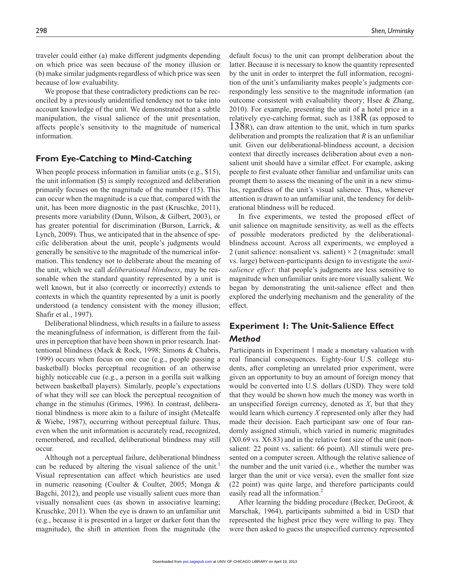traveler could either (a) make different judgments depending on which price was seen because of the money illusion or (b) make similar judgments regardless of which price was seen because of low evaluability.

We propose that these contradictory predictions can be reconciled by a previously unidentified tendency not to take into account knowledge of the unit. We demonstrated that a subtle manipulation, the visual salience of the unit presentation, affects people's sensitivity to the magnitude of numerical information.

#### **From Eye-Catching to Mind-Catching**

When people process information in familiar units (e.g., \$15), the unit information (\$) is simply recognized and deliberation primarily focuses on the magnitude of the number (15). This can occur when the magnitude is a cue that, compared with the unit, has been more diagnostic in the past (Kruschke, 2011), presents more variability (Dunn, Wilson, & Gilbert, 2003), or has greater potential for discrimination (Burson, Larrick, & Lynch, 2009). Thus, we anticipated that in the absence of specific deliberation about the unit, people's judgments would generally be sensitive to the magnitude of the numerical information. This tendency not to deliberate about the meaning of the unit, which we call *deliberational blindness*, may be reasonable when the standard quantity represented by a unit is well known, but it also (correctly or incorrectly) extends to contexts in which the quantity represented by a unit is poorly understood (a tendency consistent with the money illusion; Shafir et al., 1997).

Deliberational blindness, which results in a failure to assess the meaningfulness of information, is different from the failures in perception that have been shown in prior research. Inattentional blindness (Mack & Rock, 1998; Simons & Chabris, 1999) occurs when focus on one cue (e.g., people passing a basketball) blocks perceptual recognition of an otherwise highly noticeable cue (e.g., a person in a gorilla suit walking between basketball players). Similarly, people's expectations of what they will see can block the perceptual recognition of change in the stimulus (Grimes, 1996). In contrast, deliberational blindness is more akin to a failure of insight (Metcalfe & Wiebe, 1987), occurring without perceptual failure. Thus, even when the unit information is accurately read, recognized, remembered, and recalled, deliberational blindness may still occur.

Although not a perceptual failure, deliberational blindness can be reduced by altering the visual salience of the unit.<sup>1</sup> Visual representation can affect which heuristics are used in numeric reasoning (Coulter & Coulter, 2005; Monga & Bagchi, 2012), and people use visually salient cues more than visually nonsalient cues (as shown in associative learning; Kruschke, 2011). When the eye is drawn to an unfamiliar unit (e.g., because it is presented in a larger or darker font than the magnitude), the shift in attention from the magnitude (the

default focus) to the unit can prompt deliberation about the latter. Because it is necessary to know the quantity represented by the unit in order to interpret the full information, recognition of the unit's unfamiliarity makes people's judgments correspondingly less sensitive to the magnitude information (an outcome consistent with evaluability theory; Hsee & Zhang, 2010). For example, presenting the unit of a hotel price in a relatively eye-catching format, such as  $138R$  (as opposed to 138R), can draw attention to the unit, which in turn sparks deliberation and prompts the realization that *R* is an unfamiliar unit. Given our deliberational-blindness account, a decision context that directly increases deliberation about even a nonsalient unit should have a similar effect. For example, asking people to first evaluate other familiar and unfamiliar units can prompt them to assess the meaning of the unit in a new stimulus, regardless of the unit's visual salience. Thus, whenever attention is drawn to an unfamiliar unit, the tendency for deliberational blindness will be reduced.

In five experiments, we tested the proposed effect of unit salience on magnitude sensitivity, as well as the effects of possible moderators predicted by the deliberationalblindness account. Across all experiments, we employed a 2 (unit salience: nonsalient vs. salient)  $\times$  2 (magnitude: small vs. large) between-participants design to investigate the *unitsalience effect*: that people's judgments are less sensitive to magnitude when unfamiliar units are more visually salient. We began by demonstrating the unit-salience effect and then explored the underlying mechanism and the generality of the effect.

# **Experiment 1: The Unit-Salience Effect** *Method*

Participants in Experiment 1 made a monetary valuation with real financial consequences. Eighty-four U.S. college students, after completing an unrelated prior experiment, were given an opportunity to buy an amount of foreign money that would be converted into U.S. dollars (USD). They were told that they would be shown how much the money was worth in an unspecified foreign currency, denoted as *X*, but that they would learn which currency *X* represented only after they had made their decision. Each participant saw one of four randomly assigned stimuli, which varied in numeric magnitudes (X0.69 vs. X6.83) and in the relative font size of the unit (nonsalient: 22 point vs. salient: 66 point). All stimuli were presented on a computer screen. Although the relative salience of the number and the unit varied (i.e., whether the number was larger than the unit or vice versa), even the smaller font size (22 point) was quite large, and therefore participants could easily read all the information.<sup>2</sup>

After learning the bidding procedure (Becker, DeGroot, & Marschak, 1964), participants submitted a bid in USD that represented the highest price they were willing to pay. They were then asked to guess the unspecified currency represented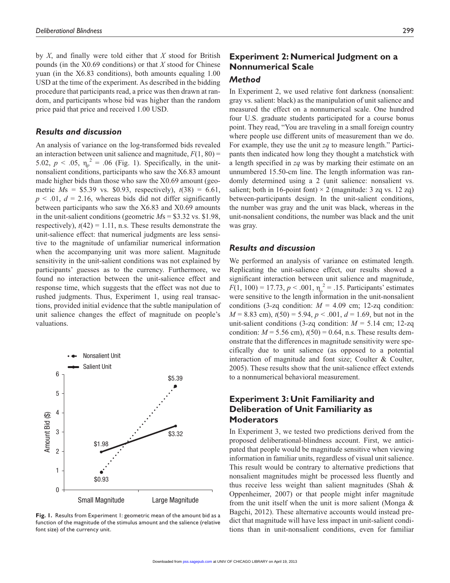by *X*, and finally were told either that *X* stood for British pounds (in the X0.69 conditions) or that *X* stood for Chinese yuan (in the X6.83 conditions), both amounts equaling 1.00 USD at the time of the experiment. As described in the bidding procedure that participants read, a price was then drawn at random, and participants whose bid was higher than the random price paid that price and received 1.00 USD.

#### *Results and discussion*

An analysis of variance on the log-transformed bids revealed an interaction between unit salience and magnitude,  $F(1, 80)$  = 5.02,  $p < .05$ ,  $\eta_p^2 = .06$  (Fig. 1). Specifically, in the unitnonsalient conditions, participants who saw the X6.83 amount made higher bids than those who saw the X0.69 amount (geometric *M*s = \$5.39 vs. \$0.93, respectively), *t*(38) = 6.61,  $p \leq 0.01$ ,  $d = 2.16$ , whereas bids did not differ significantly between participants who saw the X6.83 and X0.69 amounts in the unit-salient conditions (geometric *M*s = \$3.32 vs. \$1.98, respectively),  $t(42) = 1.11$ , n.s. These results demonstrate the unit-salience effect: that numerical judgments are less sensitive to the magnitude of unfamiliar numerical information when the accompanying unit was more salient. Magnitude sensitivity in the unit-salient conditions was not explained by participants' guesses as to the currency. Furthermore, we found no interaction between the unit-salience effect and response time, which suggests that the effect was not due to rushed judgments. Thus, Experiment 1, using real transactions, provided initial evidence that the subtle manipulation of unit salience changes the effect of magnitude on people's valuations.



**Fig. 1.** Results from Experiment 1: geometric mean of the amount bid as a function of the magnitude of the stimulus amount and the salience (relative font size) of the currency unit.

# **Experiment 2: Numerical Judgment on a Nonnumerical Scale**

#### *Method*

In Experiment 2, we used relative font darkness (nonsalient: gray vs. salient: black) as the manipulation of unit salience and measured the effect on a nonnumerical scale. One hundred four U.S. graduate students participated for a course bonus point. They read, "You are traveling in a small foreign country where people use different units of measurement than we do. For example, they use the unit *zq* to measure length." Participants then indicated how long they thought a matchstick with a length specified in *zq* was by marking their estimate on an unnumbered 15.50-cm line. The length information was randomly determined using a 2 (unit salience: nonsalient vs. salient; both in 16-point font)  $\times$  2 (magnitude: 3 zq vs. 12 zq) between-participants design. In the unit-salient conditions, the number was gray and the unit was black, whereas in the unit-nonsalient conditions, the number was black and the unit was gray.

#### *Results and discussion*

We performed an analysis of variance on estimated length. Replicating the unit-salience effect, our results showed a significant interaction between unit salience and magnitude,  $F(1, 100) = 17.73, p < .001, \eta_p^2 = .15$ . Participants' estimates were sensitive to the length information in the unit-nonsalient conditions (3-zq condition:  $M = 4.09$  cm; 12-zq condition:  $M = 8.83$  cm),  $t(50) = 5.94$ ,  $p < .001$ ,  $d = 1.69$ , but not in the unit-salient conditions (3-zq condition:  $M = 5.14$  cm; 12-zq condition:  $M = 5.56$  cm),  $t(50) = 0.64$ , n.s. These results demonstrate that the differences in magnitude sensitivity were specifically due to unit salience (as opposed to a potential interaction of magnitude and font size; Coulter & Coulter, 2005). These results show that the unit-salience effect extends to a nonnumerical behavioral measurement.

#### **Experiment 3: Unit Familiarity and Deliberation of Unit Familiarity as Moderators**

In Experiment 3, we tested two predictions derived from the proposed deliberational-blindness account. First, we anticipated that people would be magnitude sensitive when viewing information in familiar units, regardless of visual unit salience. This result would be contrary to alternative predictions that nonsalient magnitudes might be processed less fluently and thus receive less weight than salient magnitudes (Shah & Oppenheimer, 2007) or that people might infer magnitude from the unit itself when the unit is more salient (Monga & Bagchi, 2012). These alternative accounts would instead predict that magnitude will have less impact in unit-salient conditions than in unit-nonsalient conditions, even for familiar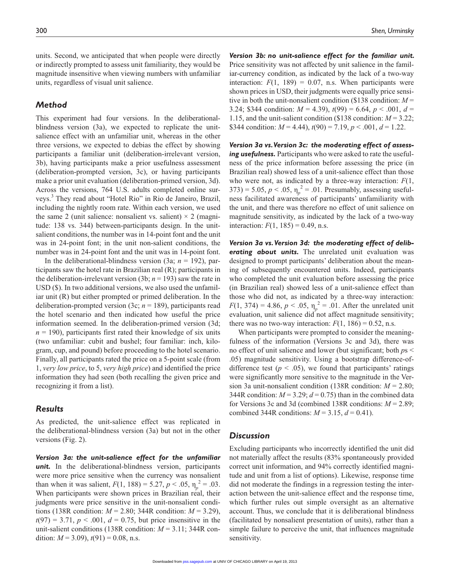units. Second, we anticipated that when people were directly or indirectly prompted to assess unit familiarity, they would be magnitude insensitive when viewing numbers with unfamiliar units, regardless of visual unit salience.

#### *Method*

This experiment had four versions. In the deliberationalblindness version (3a), we expected to replicate the unitsalience effect with an unfamiliar unit, whereas in the other three versions, we expected to debias the effect by showing participants a familiar unit (deliberation-irrelevant version, 3b), having participants make a prior usefulness assessment (deliberation-prompted version, 3c), or having participants make a prior unit evaluation (deliberation-primed version, 3d). Across the versions, 764 U.S. adults completed online surveys.<sup>3</sup> They read about "Hotel Rio" in Rio de Janeiro, Brazil, including the nightly room rate. Within each version, we used the same 2 (unit salience: nonsalient vs. salient)  $\times$  2 (magnitude: 138 vs. 344) between-participants design. In the unitsalient conditions, the number was in 14-point font and the unit was in 24-point font; in the unit non-salient conditions, the number was in 24-point font and the unit was in 14-point font.

In the deliberational-blindness version (3a; *n* = 192), participants saw the hotel rate in Brazilian real (R); participants in the deliberation-irrelevant version (3b;  $n = 193$ ) saw the rate in USD (\$). In two additional versions, we also used the unfamiliar unit (R) but either prompted or primed deliberation. In the deliberation-prompted version (3c; *n* = 189), participants read the hotel scenario and then indicated how useful the price information seemed. In the deliberation-primed version (3d;  $n = 190$ ), participants first rated their knowledge of six units (two unfamiliar: cubit and bushel; four familiar: inch, kilogram, cup, and pound) before proceeding to the hotel scenario. Finally, all participants rated the price on a 5-point scale (from 1, *very low price*, to 5, *very high price*) and identified the price information they had seen (both recalling the given price and recognizing it from a list).

#### *Results*

As predicted, the unit-salience effect was replicated in the deliberational-blindness version (3a) but not in the other versions (Fig. 2).

*Version 3a: the unit-salience effect for the unfamiliar unit.* In the deliberational-blindness version, participants were more price sensitive when the currency was nonsalient than when it was salient,  $F(1, 188) = 5.27, p < .05, \eta_p^2 = .03$ . When participants were shown prices in Brazilian real, their judgments were price sensitive in the unit-nonsalient conditions (138R condition:  $M = 2.80$ ; 344R condition:  $M = 3.29$ ),  $t(97) = 3.71, p < .001, d = 0.75$ , but price insensitive in the unit-salient conditions (138R condition: *M* = 3.11; 344R condition:  $M = 3.09$ ),  $t(91) = 0.08$ , n.s.

*Version 3b: no unit-salience effect for the familiar unit.*  Price sensitivity was not affected by unit salience in the familiar-currency condition, as indicated by the lack of a two-way interaction:  $F(1, 189) = 0.07$ , n.s. When participants were shown prices in USD, their judgments were equally price sensitive in both the unit-nonsalient condition (\$138 condition: *M* = 3.24; \$344 condition:  $M = 4.39$ ,  $t(99) = 6.64$ ,  $p < .001$ ,  $d =$ 1.15, and the unit-salient condition (\$138 condition: *M* = 3.22; \$344 condition:  $M = 4.44$ ),  $t(90) = 7.19$ ,  $p < .001$ ,  $d = 1.22$ .

*Version 3a vs. Version 3c: the moderating effect of assessing usefulness.* Participants who were asked to rate the usefulness of the price information before assessing the price (in Brazilian real) showed less of a unit-salience effect than those who were not, as indicated by a three-way interaction: *F*(1, 373) = 5.05,  $p < .05$ ,  $\eta_p^2 = .01$ . Presumably, assessing usefulness facilitated awareness of participants' unfamiliarity with the unit, and there was therefore no effect of unit salience on magnitude sensitivity, as indicated by the lack of a two-way interaction:  $F(1, 185) = 0.49$ , n.s.

*Version 3a vs. Version 3d: the moderating effect of deliberating about units.* The unrelated unit evaluation was designed to prompt participants' deliberation about the meaning of subsequently encountered units. Indeed, participants who completed the unit evaluation before assessing the price (in Brazilian real) showed less of a unit-salience effect than those who did not, as indicated by a three-way interaction:  $F(1, 374) = 4.86, p < .05, \eta_p^2 = .01$ . After the unrelated unit evaluation, unit salience did not affect magnitude sensitivity; there was no two-way interaction:  $F(1, 186) = 0.52$ , n.s.

When participants were prompted to consider the meaningfulness of the information (Versions 3c and 3d), there was no effect of unit salience and lower (but significant; both *p*s < .05) magnitude sensitivity. Using a bootstrap difference-ofdifference test ( $p < .05$ ), we found that participants' ratings were significantly more sensitive to the magnitude in the Version 3a unit-nonsalient condition (138R condition: *M* = 2.80; 344R condition:  $M = 3.29$ ;  $d = 0.75$ ) than in the combined data for Versions 3c and 3d (combined 138R conditions: *M* = 2.89; combined 344R conditions:  $M = 3.15$ ,  $d = 0.41$ ).

#### *Discussion*

Excluding participants who incorrectly identified the unit did not materially affect the results (83% spontaneously provided correct unit information, and 94% correctly identified magnitude and unit from a list of options). Likewise, response time did not moderate the findings in a regression testing the interaction between the unit-salience effect and the response time, which further rules out simple oversight as an alternative account. Thus, we conclude that it is deliberational blindness (facilitated by nonsalient presentation of units), rather than a simple failure to perceive the unit, that influences magnitude sensitivity.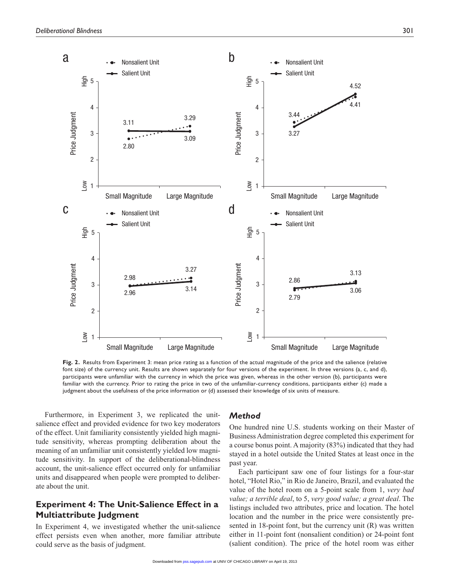

**Fig. 2.** Results from Experiment 3: mean price rating as a function of the actual magnitude of the price and the salience (relative font size) of the currency unit. Results are shown separately for four versions of the experiment. In three versions (a, c, and d), participants were unfamiliar with the currency in which the price was given, whereas in the other version (b), participants were familiar with the currency. Prior to rating the price in two of the unfamiliar-currency conditions, participants either (c) made a judgment about the usefulness of the price information or (d) assessed their knowledge of six units of measure.

Furthermore, in Experiment 3, we replicated the unitsalience effect and provided evidence for two key moderators of the effect. Unit familiarity consistently yielded high magnitude sensitivity, whereas prompting deliberation about the meaning of an unfamiliar unit consistently yielded low magnitude sensitivity. In support of the deliberational-blindness account, the unit-salience effect occurred only for unfamiliar units and disappeared when people were prompted to deliberate about the unit.

#### **Experiment 4: The Unit-Salience Effect in a Multiattribute Judgment**

In Experiment 4, we investigated whether the unit-salience effect persists even when another, more familiar attribute could serve as the basis of judgment.

#### *Method*

One hundred nine U.S. students working on their Master of Business Administration degree completed this experiment for a course bonus point. A majority (83%) indicated that they had stayed in a hotel outside the United States at least once in the past year.

Each participant saw one of four listings for a four-star hotel, "Hotel Rio," in Rio de Janeiro, Brazil, and evaluated the value of the hotel room on a 5-point scale from 1, *very bad value; a terrible deal*, to 5, *very good value; a great deal*. The listings included two attributes, price and location. The hotel location and the number in the price were consistently presented in 18-point font, but the currency unit (R) was written either in 11-point font (nonsalient condition) or 24-point font (salient condition). The price of the hotel room was either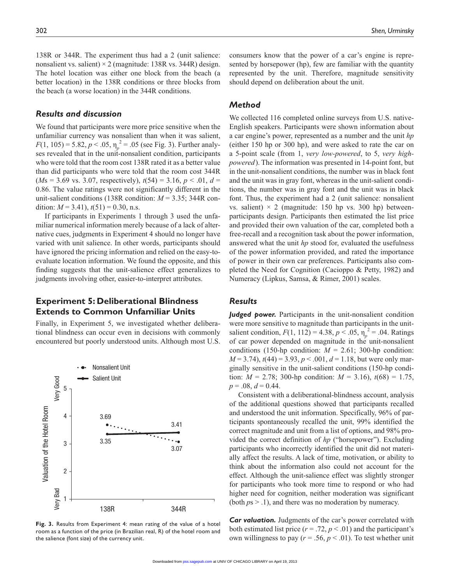138R or 344R. The experiment thus had a 2 (unit salience: nonsalient vs. salient)  $\times$  2 (magnitude: 138R vs. 344R) design. The hotel location was either one block from the beach (a better location) in the 138R conditions or three blocks from the beach (a worse location) in the 344R conditions.

#### *Results and discussion*

We found that participants were more price sensitive when the unfamiliar currency was nonsalient than when it was salient,  $F(1, 105) = 5.82, p < .05, \eta_p^2 = .05$  (see Fig. 3). Further analyses revealed that in the unit-nonsalient condition, participants who were told that the room cost 138R rated it as a better value than did participants who were told that the room cost 344R  $(Ms = 3.69 \text{ vs. } 3.07, \text{ respectively}), t(54) = 3.16, p < .01, d =$ 0.86. The value ratings were not significantly different in the unit-salient conditions (138R condition: *M* = 3.35; 344R condition:  $M = 3.41$ ,  $t(51) = 0.30$ , n.s.

If participants in Experiments 1 through 3 used the unfamiliar numerical information merely because of a lack of alternative cues, judgments in Experiment 4 should no longer have varied with unit salience. In other words, participants should have ignored the pricing information and relied on the easy-toevaluate location information. We found the opposite, and this finding suggests that the unit-salience effect generalizes to judgments involving other, easier-to-interpret attributes.

#### **Experiment 5: Deliberational Blindness Extends to Common Unfamiliar Units**

Finally, in Experiment 5, we investigated whether deliberational blindness can occur even in decisions with commonly encountered but poorly understood units. Although most U.S.



**Fig. 3.** Results from Experiment 4: mean rating of the value of a hotel room as a function of the price (in Brazilian real, R) of the hotel room and the salience (font size) of the currency unit.

consumers know that the power of a car's engine is represented by horsepower (hp), few are familiar with the quantity represented by the unit. Therefore, magnitude sensitivity should depend on deliberation about the unit.

#### *Method*

We collected 116 completed online surveys from U.S. native-English speakers. Participants were shown information about a car engine's power, represented as a number and the unit *hp* (either 150 hp or 300 hp), and were asked to rate the car on a 5-point scale (from 1, *very low-powered*, to 5, *very highpowered*). The information was presented in 14-point font, but in the unit-nonsalient conditions, the number was in black font and the unit was in gray font, whereas in the unit-salient conditions, the number was in gray font and the unit was in black font. Thus, the experiment had a 2 (unit salience: nonsalient vs. salient)  $\times$  2 (magnitude: 150 hp vs. 300 hp) betweenparticipants design. Participants then estimated the list price and provided their own valuation of the car, completed both a free-recall and a recognition task about the power information, answered what the unit *hp* stood for, evaluated the usefulness of the power information provided, and rated the importance of power in their own car preferences. Participants also completed the Need for Cognition (Cacioppo & Petty, 1982) and Numeracy (Lipkus, Samsa, & Rimer, 2001) scales.

#### *Results*

*Judged power.* Participants in the unit-nonsalient condition were more sensitive to magnitude than participants in the unitsalient condition,  $F(1, 112) = 4.38$ ,  $p < .05$ ,  $\eta_p^2 = .04$ . Ratings of car power depended on magnitude in the unit-nonsalient conditions (150-hp condition:  $M = 2.61$ ; 300-hp condition:  $M = 3.74$ ,  $t(44) = 3.93$ ,  $p < .001$ ,  $d = 1.18$ , but were only marginally sensitive in the unit-salient conditions (150-hp condition:  $M = 2.78$ ; 300-hp condition:  $M = 3.16$ ),  $t(68) = 1.75$ ,  $p = .08$ ,  $d = 0.44$ .

Consistent with a deliberational-blindness account, analysis of the additional questions showed that participants recalled and understood the unit information. Specifically, 96% of participants spontaneously recalled the unit, 99% identified the correct magnitude and unit from a list of options, and 98% provided the correct definition of *hp* ("horsepower"). Excluding participants who incorrectly identified the unit did not materially affect the results. A lack of time, motivation, or ability to think about the information also could not account for the effect. Although the unit-salience effect was slightly stronger for participants who took more time to respond or who had higher need for cognition, neither moderation was significant (both *p*s > .1), and there was no moderation by numeracy.

*Car valuation.* Judgments of the car's power correlated with both estimated list price  $(r = .72, p < .01)$  and the participant's own willingness to pay ( $r = .56$ ,  $p < .01$ ). To test whether unit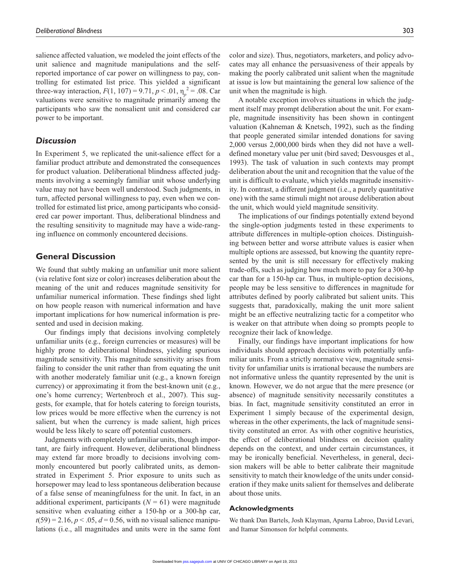salience affected valuation, we modeled the joint effects of the unit salience and magnitude manipulations and the selfreported importance of car power on willingness to pay, controlling for estimated list price. This yielded a significant three-way interaction,  $F(1, 107) = 9.71$ ,  $p < .01$ ,  $\eta_p^2 = .08$ . Car valuations were sensitive to magnitude primarily among the participants who saw the nonsalient unit and considered car power to be important.

#### *Discussion*

In Experiment 5, we replicated the unit-salience effect for a familiar product attribute and demonstrated the consequences for product valuation. Deliberational blindness affected judgments involving a seemingly familiar unit whose underlying value may not have been well understood. Such judgments, in turn, affected personal willingness to pay, even when we controlled for estimated list price, among participants who considered car power important. Thus, deliberational blindness and the resulting sensitivity to magnitude may have a wide-ranging influence on commonly encountered decisions.

#### **General Discussion**

We found that subtly making an unfamiliar unit more salient (via relative font size or color) increases deliberation about the meaning of the unit and reduces magnitude sensitivity for unfamiliar numerical information. These findings shed light on how people reason with numerical information and have important implications for how numerical information is presented and used in decision making.

Our findings imply that decisions involving completely unfamiliar units (e.g., foreign currencies or measures) will be highly prone to deliberational blindness, yielding spurious magnitude sensitivity. This magnitude sensitivity arises from failing to consider the unit rather than from equating the unit with another moderately familiar unit (e.g., a known foreign currency) or approximating it from the best-known unit (e.g., one's home currency; Wertenbroch et al., 2007). This suggests, for example, that for hotels catering to foreign tourists, low prices would be more effective when the currency is not salient, but when the currency is made salient, high prices would be less likely to scare off potential customers.

Judgments with completely unfamiliar units, though important, are fairly infrequent. However, deliberational blindness may extend far more broadly to decisions involving commonly encountered but poorly calibrated units, as demonstrated in Experiment 5. Prior exposure to units such as horsepower may lead to less spontaneous deliberation because of a false sense of meaningfulness for the unit. In fact, in an additional experiment, participants  $(N = 61)$  were magnitude sensitive when evaluating either a 150-hp or a 300-hp car,  $t(59) = 2.16$ ,  $p < .05$ ,  $d = 0.56$ , with no visual salience manipulations (i.e., all magnitudes and units were in the same font color and size). Thus, negotiators, marketers, and policy advocates may all enhance the persuasiveness of their appeals by making the poorly calibrated unit salient when the magnitude at issue is low but maintaining the general low salience of the unit when the magnitude is high.

A notable exception involves situations in which the judgment itself may prompt deliberation about the unit. For example, magnitude insensitivity has been shown in contingent valuation (Kahneman & Knetsch, 1992), such as the finding that people generated similar intended donations for saving 2,000 versus 2,000,000 birds when they did not have a welldefined monetary value per unit (bird saved; Desvousges et al., 1993). The task of valuation in such contexts may prompt deliberation about the unit and recognition that the value of the unit is difficult to evaluate, which yields magnitude insensitivity. In contrast, a different judgment (i.e., a purely quantitative one) with the same stimuli might not arouse deliberation about the unit, which would yield magnitude sensitivity.

The implications of our findings potentially extend beyond the single-option judgments tested in these experiments to attribute differences in multiple-option choices. Distinguishing between better and worse attribute values is easier when multiple options are assessed, but knowing the quantity represented by the unit is still necessary for effectively making trade-offs, such as judging how much more to pay for a 300-hp car than for a 150-hp car. Thus, in multiple-option decisions, people may be less sensitive to differences in magnitude for attributes defined by poorly calibrated but salient units. This suggests that, paradoxically, making the unit more salient might be an effective neutralizing tactic for a competitor who is weaker on that attribute when doing so prompts people to recognize their lack of knowledge.

Finally, our findings have important implications for how individuals should approach decisions with potentially unfamiliar units. From a strictly normative view, magnitude sensitivity for unfamiliar units is irrational because the numbers are not informative unless the quantity represented by the unit is known. However, we do not argue that the mere presence (or absence) of magnitude sensitivity necessarily constitutes a bias. In fact, magnitude sensitivity constituted an error in Experiment 1 simply because of the experimental design, whereas in the other experiments, the lack of magnitude sensitivity constituted an error. As with other cognitive heuristics, the effect of deliberational blindness on decision quality depends on the context, and under certain circumstances, it may be ironically beneficial. Nevertheless, in general, decision makers will be able to better calibrate their magnitude sensitivity to match their knowledge of the units under consideration if they make units salient for themselves and deliberate about those units.

#### **Acknowledgments**

We thank Dan Bartels, Josh Klayman, Aparna Labroo, David Levari, and Itamar Simonson for helpful comments.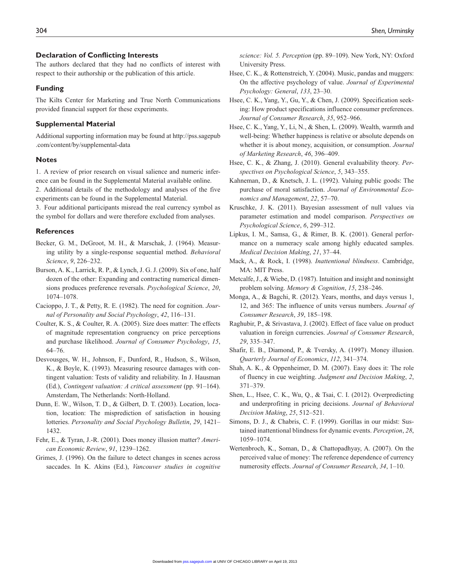#### **Declaration of Conflicting Interests**

The authors declared that they had no conflicts of interest with respect to their authorship or the publication of this article.

#### **Funding**

The Kilts Center for Marketing and True North Communications provided financial support for these experiments.

#### **Supplemental Material**

Additional supporting information may be found at http://pss.sagepub .com/content/by/supplemental-data

#### **Notes**

1. A review of prior research on visual salience and numeric inference can be found in the Supplemental Material available online. 2. Additional details of the methodology and analyses of the five experiments can be found in the Supplemental Material.

3. Four additional participants misread the real currency symbol as the symbol for dollars and were therefore excluded from analyses.

#### **References**

- Becker, G. M., DeGroot, M. H., & Marschak, J. (1964). Measuring utility by a single-response sequential method. *Behavioral Science*, *9*, 226–232.
- Burson, A. K., Larrick, R. P., & Lynch, J. G. J. (2009). Six of one, half dozen of the other: Expanding and contracting numerical dimensions produces preference reversals. *Psychological Science*, *20*, 1074–1078.
- Cacioppo, J. T., & Petty, R. E. (1982). The need for cognition. *Journal of Personality and Social Psychology*, *42*, 116–131.
- Coulter, K. S., & Coulter, R. A. (2005). Size does matter: The effects of magnitude representation congruency on price perceptions and purchase likelihood. *Journal of Consumer Psychology*, *15*, 64–76.
- Desvousges, W. H., Johnson, F., Dunford, R., Hudson, S., Wilson, K., & Boyle, K. (1993). Measuring resource damages with contingent valuation: Tests of validity and reliability. In J. Hausman (Ed.), *Contingent valuation: A critical assessment* (pp. 91–164). Amsterdam, The Netherlands: North-Holland.
- Dunn, E. W., Wilson, T. D., & Gilbert, D. T. (2003). Location, location, location: The misprediction of satisfaction in housing lotteries. *Personality and Social Psychology Bulletin*, *29*, 1421– 1432.
- Fehr, E., & Tyran, J.-R. (2001). Does money illusion matter? *American Economic Review*, *91*, 1239–1262.
- Grimes, J. (1996). On the failure to detect changes in scenes across saccades. In K. Akins (Ed.), *Vancouver studies in cognitive*

*science: Vol. 5. Perception* (pp. 89–109). New York, NY: Oxford University Press.

- Hsee, C. K., & Rottenstreich, Y. (2004). Music, pandas and muggers: On the affective psychology of value. *Journal of Experimental Psychology: General*, *133*, 23–30.
- Hsee, C. K., Yang, Y., Gu, Y., & Chen, J. (2009). Specification seeking: How product specifications influence consumer preferences. *Journal of Consumer Research*, *35*, 952–966.
- Hsee, C. K., Yang, Y., Li, N., & Shen, L. (2009). Wealth, warmth and well-being: Whether happiness is relative or absolute depends on whether it is about money, acquisition, or consumption. *Journal of Marketing Research*, *46*, 396–409.
- Hsee, C. K., & Zhang, J. (2010). General evaluability theory. *Perspectives on Psychological Science*, *5*, 343–355.
- Kahneman, D., & Knetsch, J. L. (1992). Valuing public goods: The purchase of moral satisfaction. *Journal of Environmental Economics and Management*, *22*, 57–70.
- Kruschke, J. K. (2011). Bayesian assessment of null values via parameter estimation and model comparison. *Perspectives on Psychological Science*, *6*, 299–312.
- Lipkus, I. M., Samsa, G., & Rimer, B. K. (2001). General performance on a numeracy scale among highly educated samples. *Medical Decision Making*, *21*, 37–44.
- Mack, A., & Rock, I. (1998). *Inattentional blindness*. Cambridge, MA: MIT Press.
- Metcalfe, J., & Wiebe, D. (1987). Intuition and insight and noninsight problem solving. *Memory & Cognition*, *15*, 238–246.
- Monga, A., & Bagchi, R. (2012). Years, months, and days versus 1, 12, and 365: The influence of units versus numbers. *Journal of Consumer Research*, *39*, 185–198.
- Raghubir, P., & Srivastava, J. (2002). Effect of face value on product valuation in foreign currencies. *Journal of Consumer Research*, *29*, 335–347.
- Shafir, E. B., Diamond, P., & Tversky, A. (1997). Money illusion. *Quarterly Journal of Economics*, *112*, 341–374.
- Shah, A. K., & Oppenheimer, D. M. (2007). Easy does it: The role of fluency in cue weighting. *Judgment and Decision Making*, *2*, 371–379.
- Shen, L., Hsee, C. K., Wu, Q., & Tsai, C. I. (2012). Overpredicting and underprofiting in pricing decisions. *Journal of Behavioral Decision Making*, *25*, 512–521.
- Simons, D. J., & Chabris, C. F. (1999). Gorillas in our midst: Sustained inattentional blindness for dynamic events. *Perception*, *28*, 1059–1074.
- Wertenbroch, K., Soman, D., & Chattopadhyay, A. (2007). On the perceived value of money: The reference dependence of currency numerosity effects. *Journal of Consumer Research*, *34*, 1–10.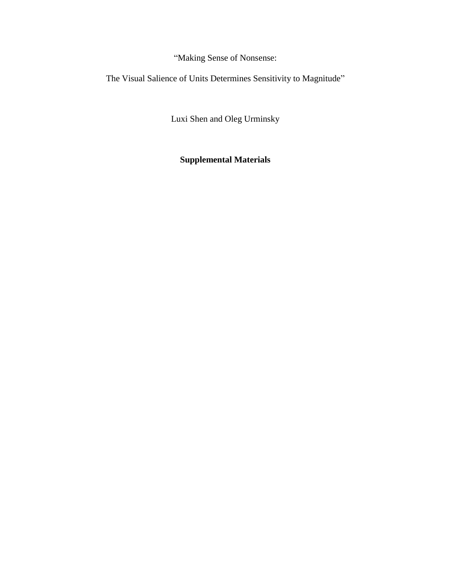"Making Sense of Nonsense:

The Visual Salience of Units Determines Sensitivity to Magnitude"

Luxi Shen and Oleg Urminsky

**Supplemental Materials**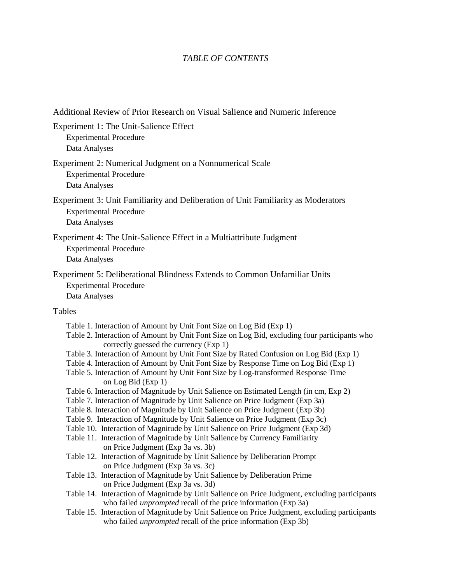# *TABLE OF CONTENTS*

| Additional Review of Prior Research on Visual Salience and Numeric Inference                                                                                                                                                                                                                                                                                                                                                                                                                                                                                                                                                                                                                                                                                                                                                                                                                                                                                                                                                                                                                                                                                                                                                                                                                                                                                                                                                                                                                                                                                                                                                                          |
|-------------------------------------------------------------------------------------------------------------------------------------------------------------------------------------------------------------------------------------------------------------------------------------------------------------------------------------------------------------------------------------------------------------------------------------------------------------------------------------------------------------------------------------------------------------------------------------------------------------------------------------------------------------------------------------------------------------------------------------------------------------------------------------------------------------------------------------------------------------------------------------------------------------------------------------------------------------------------------------------------------------------------------------------------------------------------------------------------------------------------------------------------------------------------------------------------------------------------------------------------------------------------------------------------------------------------------------------------------------------------------------------------------------------------------------------------------------------------------------------------------------------------------------------------------------------------------------------------------------------------------------------------------|
| Experiment 1: The Unit-Salience Effect<br><b>Experimental Procedure</b><br>Data Analyses                                                                                                                                                                                                                                                                                                                                                                                                                                                                                                                                                                                                                                                                                                                                                                                                                                                                                                                                                                                                                                                                                                                                                                                                                                                                                                                                                                                                                                                                                                                                                              |
| Experiment 2: Numerical Judgment on a Nonnumerical Scale<br><b>Experimental Procedure</b><br>Data Analyses                                                                                                                                                                                                                                                                                                                                                                                                                                                                                                                                                                                                                                                                                                                                                                                                                                                                                                                                                                                                                                                                                                                                                                                                                                                                                                                                                                                                                                                                                                                                            |
| Experiment 3: Unit Familiarity and Deliberation of Unit Familiarity as Moderators<br><b>Experimental Procedure</b><br>Data Analyses                                                                                                                                                                                                                                                                                                                                                                                                                                                                                                                                                                                                                                                                                                                                                                                                                                                                                                                                                                                                                                                                                                                                                                                                                                                                                                                                                                                                                                                                                                                   |
| Experiment 4: The Unit-Salience Effect in a Multiattribute Judgment<br><b>Experimental Procedure</b><br>Data Analyses                                                                                                                                                                                                                                                                                                                                                                                                                                                                                                                                                                                                                                                                                                                                                                                                                                                                                                                                                                                                                                                                                                                                                                                                                                                                                                                                                                                                                                                                                                                                 |
| Experiment 5: Deliberational Blindness Extends to Common Unfamiliar Units<br><b>Experimental Procedure</b><br>Data Analyses                                                                                                                                                                                                                                                                                                                                                                                                                                                                                                                                                                                                                                                                                                                                                                                                                                                                                                                                                                                                                                                                                                                                                                                                                                                                                                                                                                                                                                                                                                                           |
| Tables                                                                                                                                                                                                                                                                                                                                                                                                                                                                                                                                                                                                                                                                                                                                                                                                                                                                                                                                                                                                                                                                                                                                                                                                                                                                                                                                                                                                                                                                                                                                                                                                                                                |
| Table 1. Interaction of Amount by Unit Font Size on Log Bid (Exp 1)<br>Table 2. Interaction of Amount by Unit Font Size on Log Bid, excluding four participants who<br>correctly guessed the currency (Exp 1)<br>Table 3. Interaction of Amount by Unit Font Size by Rated Confusion on Log Bid (Exp 1)<br>Table 4. Interaction of Amount by Unit Font Size by Response Time on Log Bid (Exp 1)<br>Table 5. Interaction of Amount by Unit Font Size by Log-transformed Response Time<br>on Log Bid (Exp 1)<br>Table 6. Interaction of Magnitude by Unit Salience on Estimated Length (in cm, Exp 2)<br>Table 7. Interaction of Magnitude by Unit Salience on Price Judgment (Exp 3a)<br>Table 8. Interaction of Magnitude by Unit Salience on Price Judgment (Exp 3b)<br>Table 9. Interaction of Magnitude by Unit Salience on Price Judgment (Exp 3c)<br>Table 10. Interaction of Magnitude by Unit Salience on Price Judgment (Exp 3d)<br>Table 11. Interaction of Magnitude by Unit Salience by Currency Familiarity<br>on Price Judgment (Exp 3a vs. 3b)<br>Table 12. Interaction of Magnitude by Unit Salience by Deliberation Prompt<br>on Price Judgment (Exp 3a vs. 3c)<br>Table 13. Interaction of Magnitude by Unit Salience by Deliberation Prime<br>on Price Judgment (Exp 3a vs. 3d)<br>Table 14. Interaction of Magnitude by Unit Salience on Price Judgment, excluding participants<br>who failed <i>unprompted</i> recall of the price information (Exp 3a)<br>Table 15. Interaction of Magnitude by Unit Salience on Price Judgment, excluding participants<br>who failed <i>unprompted</i> recall of the price information (Exp 3b) |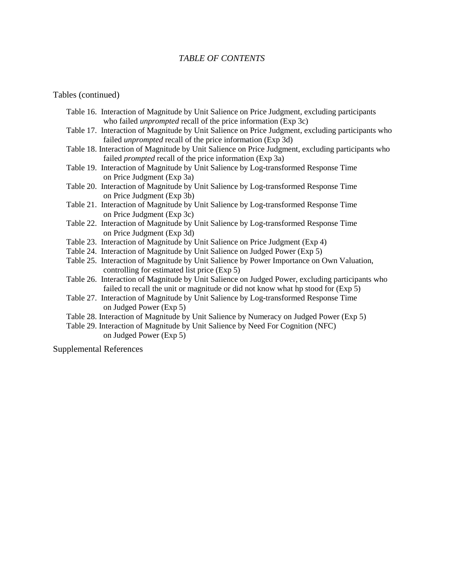#### *TABLE OF CONTENTS*

#### Tables (continued)

- Table 16. Interaction of Magnitude by Unit Salience on Price Judgment, excluding participants who failed *unprompted* recall of the price information (Exp 3c)
- Table 17. Interaction of Magnitude by Unit Salience on Price Judgment, excluding participants who failed *unprompted* recall of the price information (Exp 3d)
- Table 18. Interaction of Magnitude by Unit Salience on Price Judgment, excluding participants who failed *prompted* recall of the price information (Exp 3a)
- Table 19. Interaction of Magnitude by Unit Salience by Log-transformed Response Time on Price Judgment (Exp 3a)
- Table 20. Interaction of Magnitude by Unit Salience by Log-transformed Response Time on Price Judgment (Exp 3b)
- Table 21. Interaction of Magnitude by Unit Salience by Log-transformed Response Time on Price Judgment (Exp 3c)
- Table 22. Interaction of Magnitude by Unit Salience by Log-transformed Response Time on Price Judgment (Exp 3d)
- Table 23. Interaction of Magnitude by Unit Salience on Price Judgment (Exp 4)
- Table 24. Interaction of Magnitude by Unit Salience on Judged Power (Exp 5)
- Table 25. Interaction of Magnitude by Unit Salience by Power Importance on Own Valuation, controlling for estimated list price (Exp 5)
- Table 26. Interaction of Magnitude by Unit Salience on Judged Power, excluding participants who failed to recall the unit or magnitude or did not know what hp stood for (Exp 5)
- Table 27. Interaction of Magnitude by Unit Salience by Log-transformed Response Time on Judged Power (Exp 5)
- Table 28. Interaction of Magnitude by Unit Salience by Numeracy on Judged Power (Exp 5)
- Table 29. Interaction of Magnitude by Unit Salience by Need For Cognition (NFC) on Judged Power (Exp 5)

Supplemental References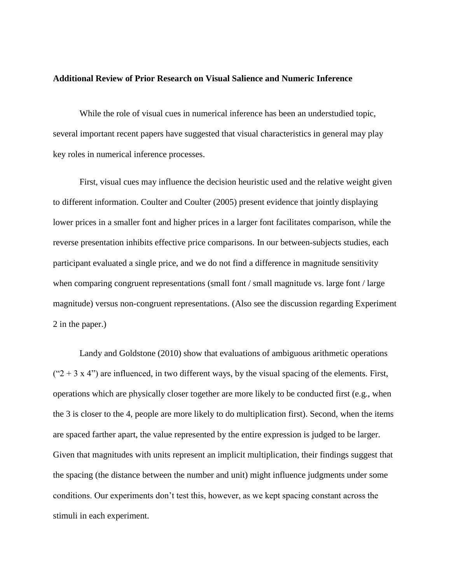#### **Additional Review of Prior Research on Visual Salience and Numeric Inference**

While the role of visual cues in numerical inference has been an understudied topic, several important recent papers have suggested that visual characteristics in general may play key roles in numerical inference processes.

First, visual cues may influence the decision heuristic used and the relative weight given to different information. Coulter and Coulter (2005) present evidence that jointly displaying lower prices in a smaller font and higher prices in a larger font facilitates comparison, while the reverse presentation inhibits effective price comparisons. In our between-subjects studies, each participant evaluated a single price, and we do not find a difference in magnitude sensitivity when comparing congruent representations (small font / small magnitude vs. large font / large magnitude) versus non-congruent representations. (Also see the discussion regarding Experiment 2 in the paper.)

Landy and Goldstone (2010) show that evaluations of ambiguous arithmetic operations  $("2 + 3 x 4")$  are influenced, in two different ways, by the visual spacing of the elements. First, operations which are physically closer together are more likely to be conducted first (e.g., when the 3 is closer to the 4, people are more likely to do multiplication first). Second, when the items are spaced farther apart, the value represented by the entire expression is judged to be larger. Given that magnitudes with units represent an implicit multiplication, their findings suggest that the spacing (the distance between the number and unit) might influence judgments under some conditions. Our experiments don't test this, however, as we kept spacing constant across the stimuli in each experiment.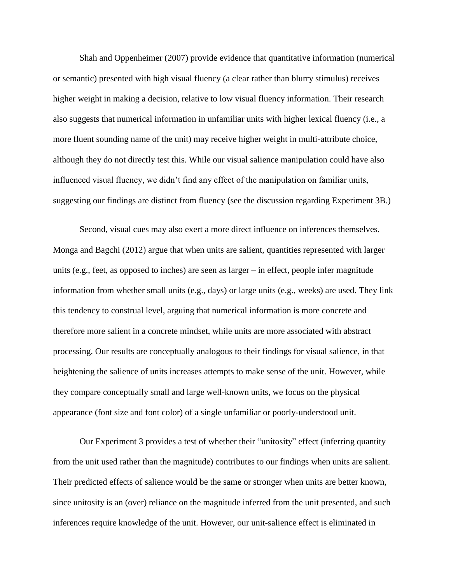Shah and Oppenheimer (2007) provide evidence that quantitative information (numerical or semantic) presented with high visual fluency (a clear rather than blurry stimulus) receives higher weight in making a decision, relative to low visual fluency information. Their research also suggests that numerical information in unfamiliar units with higher lexical fluency (i.e., a more fluent sounding name of the unit) may receive higher weight in multi-attribute choice, although they do not directly test this. While our visual salience manipulation could have also influenced visual fluency, we didn't find any effect of the manipulation on familiar units, suggesting our findings are distinct from fluency (see the discussion regarding Experiment 3B.)

Second, visual cues may also exert a more direct influence on inferences themselves. Monga and Bagchi (2012) argue that when units are salient, quantities represented with larger units (e.g., feet, as opposed to inches) are seen as larger – in effect, people infer magnitude information from whether small units (e.g., days) or large units (e.g., weeks) are used. They link this tendency to construal level, arguing that numerical information is more concrete and therefore more salient in a concrete mindset, while units are more associated with abstract processing. Our results are conceptually analogous to their findings for visual salience, in that heightening the salience of units increases attempts to make sense of the unit. However, while they compare conceptually small and large well-known units, we focus on the physical appearance (font size and font color) of a single unfamiliar or poorly-understood unit.

Our Experiment 3 provides a test of whether their "unitosity" effect (inferring quantity from the unit used rather than the magnitude) contributes to our findings when units are salient. Their predicted effects of salience would be the same or stronger when units are better known, since unitosity is an (over) reliance on the magnitude inferred from the unit presented, and such inferences require knowledge of the unit. However, our unit-salience effect is eliminated in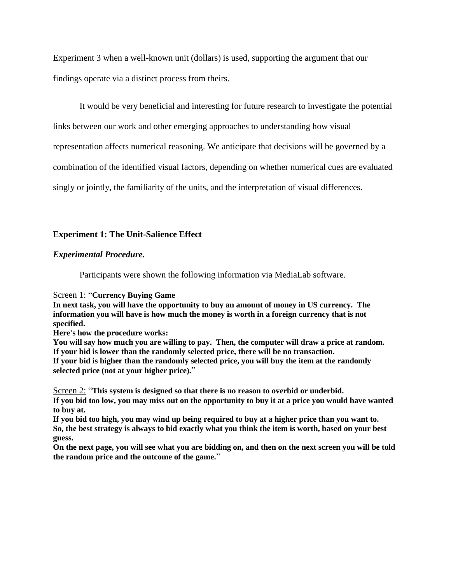Experiment 3 when a well-known unit (dollars) is used, supporting the argument that our findings operate via a distinct process from theirs.

It would be very beneficial and interesting for future research to investigate the potential

links between our work and other emerging approaches to understanding how visual

representation affects numerical reasoning. We anticipate that decisions will be governed by a

combination of the identified visual factors, depending on whether numerical cues are evaluated

singly or jointly, the familiarity of the units, and the interpretation of visual differences.

#### **Experiment 1: The Unit-Salience Effect**

#### *Experimental Procedure.*

Participants were shown the following information via MediaLab software.

Screen 1: "**Currency Buying Game**

**In next task, you will have the opportunity to buy an amount of money in US currency. The information you will have is how much the money is worth in a foreign currency that is not specified.**

**Here's how the procedure works:**

**You will say how much you are willing to pay. Then, the computer will draw a price at random. If your bid is lower than the randomly selected price, there will be no transaction. If your bid is higher than the randomly selected price, you will buy the item at the randomly selected price (not at your higher price).**"

Screen 2: "**This system is designed so that there is no reason to overbid or underbid. If you bid too low, you may miss out on the opportunity to buy it at a price you would have wanted to buy at.**

**If you bid too high, you may wind up being required to buy at a higher price than you want to. So, the best strategy is always to bid exactly what you think the item is worth, based on your best guess.**

**On the next page, you will see what you are bidding on, and then on the next screen you will be told the random price and the outcome of the game.**"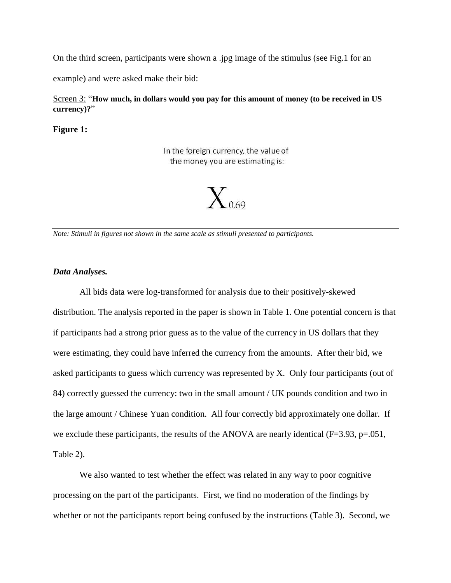On the third screen, participants were shown a .jpg image of the stimulus (see Fig.1 for an

example) and were asked make their bid:

Screen 3: "**How much, in dollars would you pay for this amount of money (to be received in US currency)?**"

**Figure 1:**

In the foreign currency, the value of the money you are estimating is:



*Note: Stimuli in figures not shown in the same scale as stimuli presented to participants.*

#### *Data Analyses.*

All bids data were log-transformed for analysis due to their positively-skewed distribution. The analysis reported in the paper is shown in Table 1. One potential concern is that if participants had a strong prior guess as to the value of the currency in US dollars that they were estimating, they could have inferred the currency from the amounts. After their bid, we asked participants to guess which currency was represented by X. Only four participants (out of 84) correctly guessed the currency: two in the small amount / UK pounds condition and two in the large amount / Chinese Yuan condition. All four correctly bid approximately one dollar. If we exclude these participants, the results of the ANOVA are nearly identical (F=3.93, p=.051, Table 2).

We also wanted to test whether the effect was related in any way to poor cognitive processing on the part of the participants. First, we find no moderation of the findings by whether or not the participants report being confused by the instructions (Table 3). Second, we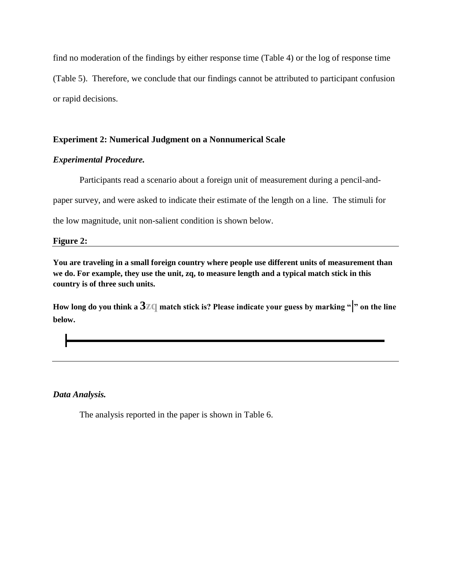find no moderation of the findings by either response time (Table 4) or the log of response time (Table 5). Therefore, we conclude that our findings cannot be attributed to participant confusion or rapid decisions.

#### **Experiment 2: Numerical Judgment on a Nonnumerical Scale**

#### *Experimental Procedure.*

Participants read a scenario about a foreign unit of measurement during a pencil-and-

paper survey, and were asked to indicate their estimate of the length on a line. The stimuli for

the low magnitude, unit non-salient condition is shown below.

#### **Figure 2:**

**You are traveling in a small foreign country where people use different units of measurement than we do. For example, they use the unit, zq, to measure length and a typical match stick in this country is of three such units.** 

**How long do you think a 3zq match stick is? Please indicate your guess by marking "|" on the line below.**

*Data Analysis.*

The analysis reported in the paper is shown in Table 6.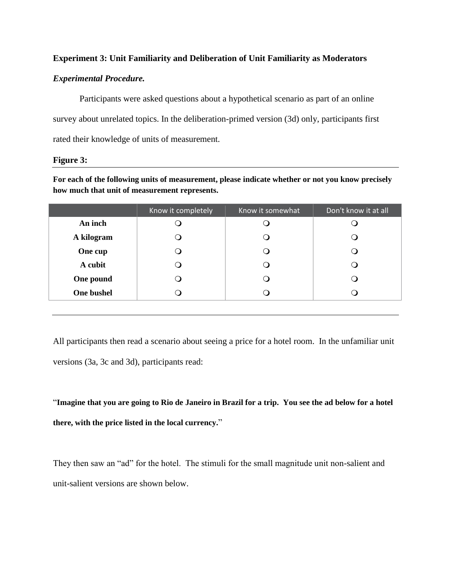#### **Experiment 3: Unit Familiarity and Deliberation of Unit Familiarity as Moderators**

#### *Experimental Procedure.*

Participants were asked questions about a hypothetical scenario as part of an online survey about unrelated topics. In the deliberation-primed version (3d) only, participants first rated their knowledge of units of measurement.

#### **Figure 3:**

**For each of the following units of measurement, please indicate whether or not you know precisely how much that unit of measurement represents.**

|            | Know it completely | Know it somewhat | Don't know it at all |
|------------|--------------------|------------------|----------------------|
| An inch    |                    |                  |                      |
| A kilogram |                    |                  |                      |
| One cup    |                    |                  |                      |
| A cubit    |                    |                  |                      |
| One pound  |                    |                  |                      |
| One bushel |                    |                  |                      |
|            |                    |                  |                      |

All participants then read a scenario about seeing a price for a hotel room. In the unfamiliar unit versions (3a, 3c and 3d), participants read:

"**Imagine that you are going to Rio de Janeiro in Brazil for a trip. You see the ad below for a hotel there, with the price listed in the local currency.**"

They then saw an "ad" for the hotel. The stimuli for the small magnitude unit non-salient and unit-salient versions are shown below.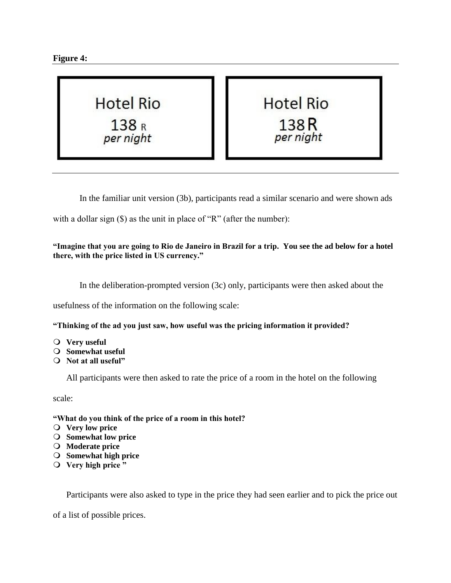



**Hotel Rio** 138<sub>R</sub> per night

In the familiar unit version (3b), participants read a similar scenario and were shown ads

with a dollar sign (\$) as the unit in place of "R" (after the number):

**"Imagine that you are going to Rio de Janeiro in Brazil for a trip. You see the ad below for a hotel there, with the price listed in US currency."**

In the deliberation-prompted version (3c) only, participants were then asked about the

usefulness of the information on the following scale:

**"Thinking of the ad you just saw, how useful was the pricing information it provided?**

- **Very useful**
- **Somewhat useful**
- **Not at all useful"**

All participants were then asked to rate the price of a room in the hotel on the following

scale:

#### **"What do you think of the price of a room in this hotel?**

- **Very low price**
- **Somewhat low price**
- **Moderate price**
- **Somewhat high price**
- **Very high price "**

Participants were also asked to type in the price they had seen earlier and to pick the price out

of a list of possible prices.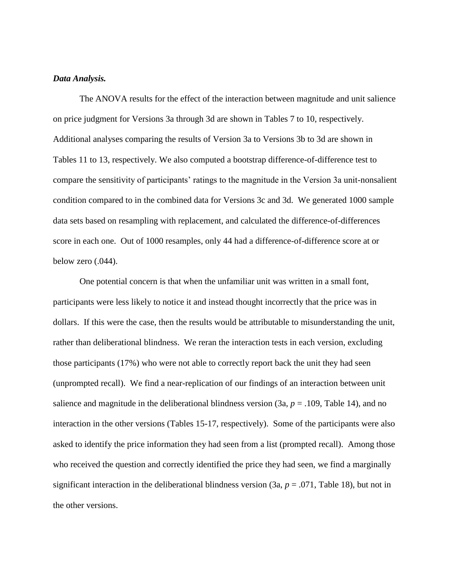#### *Data Analysis.*

The ANOVA results for the effect of the interaction between magnitude and unit salience on price judgment for Versions 3a through 3d are shown in Tables 7 to 10, respectively. Additional analyses comparing the results of Version 3a to Versions 3b to 3d are shown in Tables 11 to 13, respectively. We also computed a bootstrap difference-of-difference test to compare the sensitivity of participants' ratings to the magnitude in the Version 3a unit-nonsalient condition compared to in the combined data for Versions 3c and 3d. We generated 1000 sample data sets based on resampling with replacement, and calculated the difference-of-differences score in each one. Out of 1000 resamples, only 44 had a difference-of-difference score at or below zero (.044).

One potential concern is that when the unfamiliar unit was written in a small font, participants were less likely to notice it and instead thought incorrectly that the price was in dollars. If this were the case, then the results would be attributable to misunderstanding the unit, rather than deliberational blindness. We reran the interaction tests in each version, excluding those participants (17%) who were not able to correctly report back the unit they had seen (unprompted recall). We find a near-replication of our findings of an interaction between unit salience and magnitude in the deliberational blindness version  $(3a, p = .109,$  Table 14), and no interaction in the other versions (Tables 15-17, respectively). Some of the participants were also asked to identify the price information they had seen from a list (prompted recall). Among those who received the question and correctly identified the price they had seen, we find a marginally significant interaction in the deliberational blindness version  $(3a, p = .071,$  Table 18), but not in the other versions.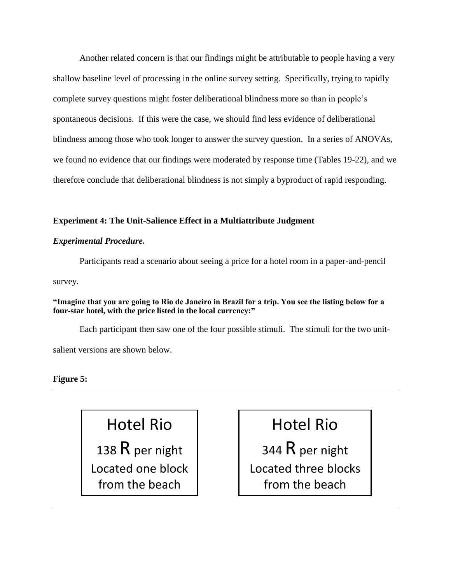Another related concern is that our findings might be attributable to people having a very shallow baseline level of processing in the online survey setting. Specifically, trying to rapidly complete survey questions might foster deliberational blindness more so than in people's spontaneous decisions. If this were the case, we should find less evidence of deliberational blindness among those who took longer to answer the survey question. In a series of ANOVAs, we found no evidence that our findings were moderated by response time (Tables 19-22), and we therefore conclude that deliberational blindness is not simply a byproduct of rapid responding.

#### **Experiment 4: The Unit-Salience Effect in a Multiattribute Judgment**

#### *Experimental Procedure.*

Participants read a scenario about seeing a price for a hotel room in a paper-and-pencil

survey.

**"Imagine that you are going to Rio de Janeiro in Brazil for a trip. You see the listing below for a four-star hotel, with the price listed in the local currency:"**

Each participant then saw one of the four possible stimuli. The stimuli for the two unitsalient versions are shown below.

#### **Figure 5:**

# Hotel Rio

138  $R$  per night Located one block from the beach

# Hotel Rio

344 $R$  per night Located three blocks from the beach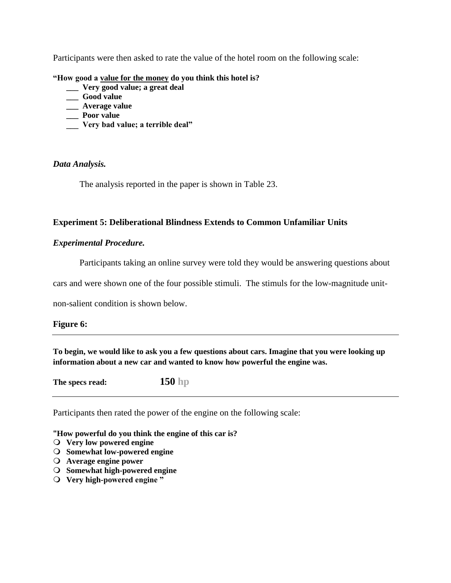Participants were then asked to rate the value of the hotel room on the following scale:

**"How good a value for the money do you think this hotel is?** 

- **\_\_\_ Very good value; a great deal**
- **\_\_\_ Good value**
- **\_\_\_ Average value**
- **\_\_\_ Poor value**
- **\_\_\_ Very bad value; a terrible deal"**

#### *Data Analysis.*

The analysis reported in the paper is shown in Table 23.

#### **Experiment 5: Deliberational Blindness Extends to Common Unfamiliar Units**

#### *Experimental Procedure.*

Participants taking an online survey were told they would be answering questions about

cars and were shown one of the four possible stimuli. The stimuls for the low-magnitude unit-

non-salient condition is shown below.

#### **Figure 6:**

**To begin, we would like to ask you a few questions about cars. Imagine that you were looking up information about a new car and wanted to know how powerful the engine was.** 

**The specs read: 150 hp**

Participants then rated the power of the engine on the following scale:

**"How powerful do you think the engine of this car is?**

- **Very low powered engine**
- **Somewhat low-powered engine**
- **Average engine power**
- **Somewhat high-powered engine**
- **Very high-powered engine "**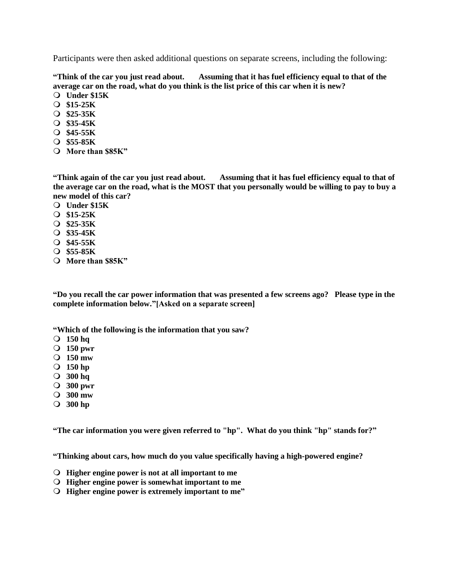Participants were then asked additional questions on separate screens, including the following:

**"Think of the car you just read about. Assuming that it has fuel efficiency equal to that of the average car on the road, what do you think is the list price of this car when it is new?**

- **Under \$15K**
- **\$15-25K**
- **\$25-35K**
- **\$35-45K**
- **\$45-55K**
- **\$55-85K**
- **More than \$85K"**

**"Think again of the car you just read about. Assuming that it has fuel efficiency equal to that of the average car on the road, what is the MOST that you personally would be willing to pay to buy a new model of this car?**

- **Under \$15K**
- **\$15-25K**
- **\$25-35K**
- **\$35-45K**
- **\$45-55K**
- **\$55-85K**
- **More than \$85K"**

**"Do you recall the car power information that was presented a few screens ago? Please type in the complete information below."[Asked on a separate screen]**

**"Which of the following is the information that you saw?**

- **150 hq**
- **150 pwr**
- **150 mw**
- **150 hp**
- **300 hq**
- **300 pwr**
- **300 mw**
- **300 hp**

**"The car information you were given referred to "hp". What do you think "hp" stands for?"**

**"Thinking about cars, how much do you value specifically having a high-powered engine?**

- **Higher engine power is not at all important to me**
- **Higher engine power is somewhat important to me**
- **Higher engine power is extremely important to me"**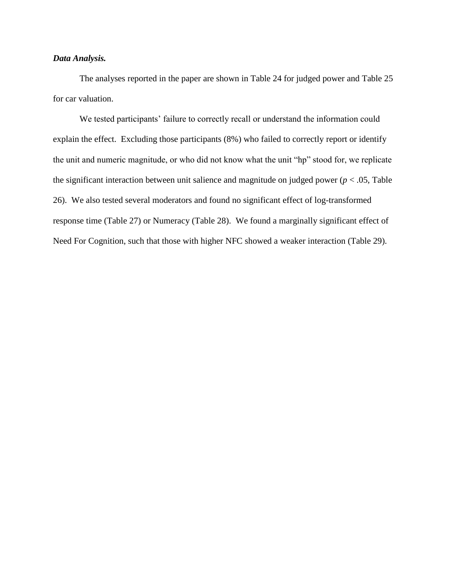#### *Data Analysis.*

The analyses reported in the paper are shown in Table 24 for judged power and Table 25 for car valuation.

We tested participants' failure to correctly recall or understand the information could explain the effect. Excluding those participants (8%) who failed to correctly report or identify the unit and numeric magnitude, or who did not know what the unit "hp" stood for, we replicate the significant interaction between unit salience and magnitude on judged power ( $p < .05$ , Table 26). We also tested several moderators and found no significant effect of log-transformed response time (Table 27) or Numeracy (Table 28). We found a marginally significant effect of Need For Cognition, such that those with higher NFC showed a weaker interaction (Table 29).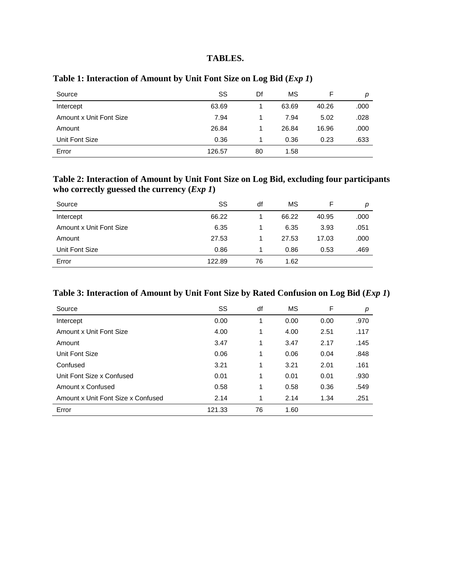#### **TABLES.**

| Source                  | SS     | Df | MS    | F     | р    |
|-------------------------|--------|----|-------|-------|------|
| Intercept               | 63.69  |    | 63.69 | 40.26 | .000 |
| Amount x Unit Font Size | 7.94   |    | 7.94  | 5.02  | .028 |
| Amount                  | 26.84  |    | 26.84 | 16.96 | .000 |
| Unit Font Size          | 0.36   |    | 0.36  | 0.23  | .633 |
| Error                   | 126.57 | 80 | 1.58  |       |      |

# **Table 1: Interaction of Amount by Unit Font Size on Log Bid (***Exp 1***)**

# **Table 2: Interaction of Amount by Unit Font Size on Log Bid, excluding four participants who correctly guessed the currency (***Exp 1***)**

| Source                  | SS     | df | MS    | F     | р    |
|-------------------------|--------|----|-------|-------|------|
| Intercept               | 66.22  |    | 66.22 | 40.95 | .000 |
| Amount x Unit Font Size | 6.35   |    | 6.35  | 3.93  | .051 |
| Amount                  | 27.53  |    | 27.53 | 17.03 | .000 |
| Unit Font Size          | 0.86   |    | 0.86  | 0.53  | .469 |
| Error                   | 122.89 | 76 | 1.62  |       |      |

# **Table 3: Interaction of Amount by Unit Font Size by Rated Confusion on Log Bid (***Exp 1***)**

| Source                             | SS     | df | МS   | F    | р    |
|------------------------------------|--------|----|------|------|------|
| Intercept                          | 0.00   | 1  | 0.00 | 0.00 | .970 |
| Amount x Unit Font Size            | 4.00   | 1  | 4.00 | 2.51 | .117 |
| Amount                             | 3.47   | 1  | 3.47 | 2.17 | .145 |
| Unit Font Size                     | 0.06   | 1  | 0.06 | 0.04 | .848 |
| Confused                           | 3.21   | 1  | 3.21 | 2.01 | .161 |
| Unit Font Size x Confused          | 0.01   | 1  | 0.01 | 0.01 | .930 |
| Amount x Confused                  | 0.58   | 1  | 0.58 | 0.36 | .549 |
| Amount x Unit Font Size x Confused | 2.14   | 1  | 2.14 | 1.34 | .251 |
| Error                              | 121.33 | 76 | 1.60 |      |      |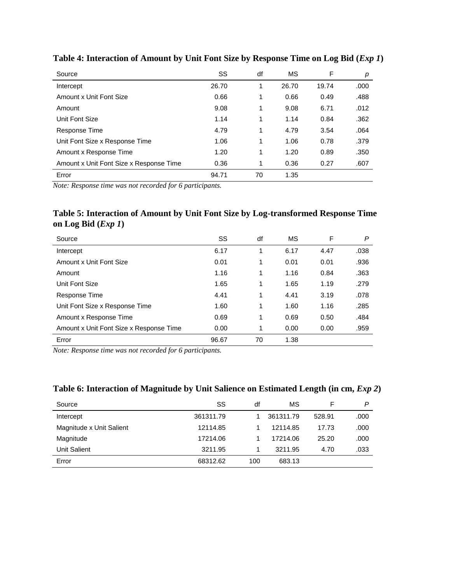| Source                                  | SS    | df | МS    | F     | р    |
|-----------------------------------------|-------|----|-------|-------|------|
| Intercept                               | 26.70 |    | 26.70 | 19.74 | .000 |
| Amount x Unit Font Size                 | 0.66  | 1  | 0.66  | 0.49  | .488 |
| Amount                                  | 9.08  | 1  | 9.08  | 6.71  | .012 |
| Unit Font Size                          | 1.14  |    | 1.14  | 0.84  | .362 |
| Response Time                           | 4.79  | 1  | 4.79  | 3.54  | .064 |
| Unit Font Size x Response Time          | 1.06  | 1  | 1.06  | 0.78  | .379 |
| Amount x Response Time                  | 1.20  |    | 1.20  | 0.89  | .350 |
| Amount x Unit Font Size x Response Time | 0.36  | 1  | 0.36  | 0.27  | .607 |
| Error                                   | 94.71 | 70 | 1.35  |       |      |

**Table 4: Interaction of Amount by Unit Font Size by Response Time on Log Bid (***Exp 1***)**

*Note: Response time was not recorded for 6 participants.*

# **Table 5: Interaction of Amount by Unit Font Size by Log-transformed Response Time on Log Bid (***Exp 1***)**

| Source                                  | SS    | df | МS   | F    | P    |
|-----------------------------------------|-------|----|------|------|------|
| Intercept                               | 6.17  | 1  | 6.17 | 4.47 | .038 |
| Amount x Unit Font Size                 | 0.01  | 1  | 0.01 | 0.01 | .936 |
| Amount                                  | 1.16  | 1  | 1.16 | 0.84 | .363 |
| Unit Font Size                          | 1.65  | 1  | 1.65 | 1.19 | .279 |
| Response Time                           | 4.41  | 1  | 4.41 | 3.19 | .078 |
| Unit Font Size x Response Time          | 1.60  | 1  | 1.60 | 1.16 | .285 |
| Amount x Response Time                  | 0.69  | 1  | 0.69 | 0.50 | .484 |
| Amount x Unit Font Size x Response Time | 0.00  | 1  | 0.00 | 0.00 | .959 |
| Error                                   | 96.67 | 70 | 1.38 |      |      |

*Note: Response time was not recorded for 6 participants.*

#### Table 6: Interaction of Magnitude by Unit Salience on Estimated Length (in cm, *Exp 2*)

| Source                   | SS        | df  | MS        | F      | P    |
|--------------------------|-----------|-----|-----------|--------|------|
| Intercept                | 361311.79 |     | 361311.79 | 528.91 | .000 |
| Magnitude x Unit Salient | 12114.85  |     | 12114.85  | 17.73  | .000 |
| Magnitude                | 17214.06  |     | 17214.06  | 25.20  | .000 |
| <b>Unit Salient</b>      | 3211.95   |     | 3211.95   | 4.70   | .033 |
| Error                    | 68312.62  | 100 | 683.13    |        |      |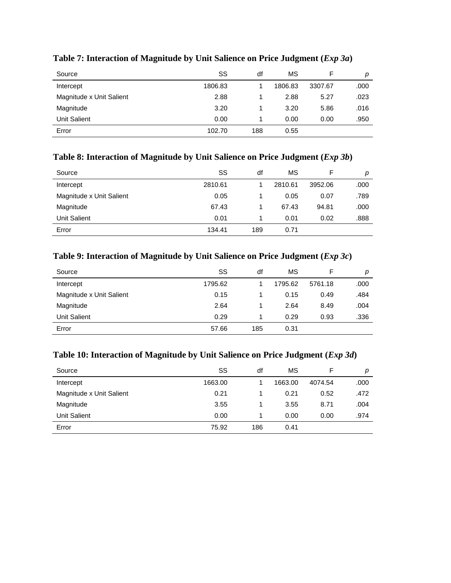| Source                   | SS      | df  | MS      |         | р    |
|--------------------------|---------|-----|---------|---------|------|
| Intercept                | 1806.83 |     | 1806.83 | 3307.67 | .000 |
| Magnitude x Unit Salient | 2.88    |     | 2.88    | 5.27    | .023 |
| Magnitude                | 3.20    |     | 3.20    | 5.86    | .016 |
| <b>Unit Salient</b>      | 0.00    |     | 0.00    | 0.00    | .950 |
| Error                    | 102.70  | 188 | 0.55    |         |      |

# **Table 7: Interaction of Magnitude by Unit Salience on Price Judgment (***Exp 3a***)**

# **Table 8: Interaction of Magnitude by Unit Salience on Price Judgment (***Exp 3b***)**

| Source                   | SS      | df  | MS      |         | р    |
|--------------------------|---------|-----|---------|---------|------|
| Intercept                | 2810.61 |     | 2810.61 | 3952.06 | .000 |
| Magnitude x Unit Salient | 0.05    |     | 0.05    | 0.07    | .789 |
| Magnitude                | 67.43   |     | 67.43   | 94.81   | .000 |
| <b>Unit Salient</b>      | 0.01    |     | 0.01    | 0.02    | .888 |
| Error                    | 134.41  | 189 | 0.71    |         |      |

# **Table 9: Interaction of Magnitude by Unit Salience on Price Judgment (***Exp 3c***)**

| Source                   | SS      | df  | MS      |         | р    |
|--------------------------|---------|-----|---------|---------|------|
| Intercept                | 1795.62 |     | 1795.62 | 5761.18 | .000 |
| Magnitude x Unit Salient | 0.15    |     | 0.15    | 0.49    | .484 |
| Magnitude                | 2.64    |     | 2.64    | 8.49    | .004 |
| Unit Salient             | 0.29    |     | 0.29    | 0.93    | .336 |
| Error                    | 57.66   | 185 | 0.31    |         |      |

# **Table 10: Interaction of Magnitude by Unit Salience on Price Judgment (***Exp 3d***)**

| Source                   | SS      | df  | MS      |         | р    |
|--------------------------|---------|-----|---------|---------|------|
| Intercept                | 1663.00 |     | 1663.00 | 4074.54 | .000 |
| Magnitude x Unit Salient | 0.21    |     | 0.21    | 0.52    | .472 |
| Magnitude                | 3.55    |     | 3.55    | 8.71    | .004 |
| <b>Unit Salient</b>      | 0.00    |     | 0.00    | 0.00    | .974 |
| Error                    | 75.92   | 186 | 0.41    |         |      |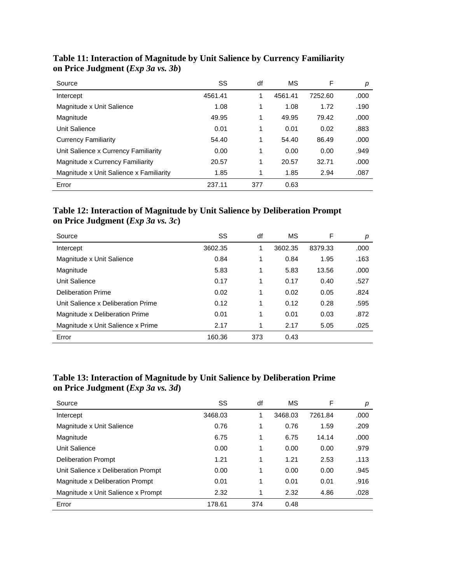| Source                                  | SS      | df  | MS      | F       | р    |
|-----------------------------------------|---------|-----|---------|---------|------|
| Intercept                               | 4561.41 | 1   | 4561.41 | 7252.60 | .000 |
| Magnitude x Unit Salience               | 1.08    | 1   | 1.08    | 1.72    | .190 |
| Magnitude                               | 49.95   | 1   | 49.95   | 79.42   | .000 |
| Unit Salience                           | 0.01    | 1   | 0.01    | 0.02    | .883 |
| <b>Currency Familiarity</b>             | 54.40   | 1   | 54.40   | 86.49   | .000 |
| Unit Salience x Currency Familiarity    | 0.00    | 1   | 0.00    | 0.00    | .949 |
| Magnitude x Currency Familiarity        | 20.57   | 1   | 20.57   | 32.71   | .000 |
| Magnitude x Unit Salience x Familiarity | 1.85    | 1   | 1.85    | 2.94    | .087 |
| Error                                   | 237.11  | 377 | 0.63    |         |      |

# **Table 11: Interaction of Magnitude by Unit Salience by Currency Familiarity on Price Judgment (***Exp 3a vs. 3b***)**

# **Table 12: Interaction of Magnitude by Unit Salience by Deliberation Prompt on Price Judgment (***Exp 3a vs. 3c***)**

| Source                             | SS      | df  | MS      | F       | p    |
|------------------------------------|---------|-----|---------|---------|------|
| Intercept                          | 3602.35 | 1   | 3602.35 | 8379.33 | .000 |
| Magnitude x Unit Salience          | 0.84    | 1   | 0.84    | 1.95    | .163 |
| Magnitude                          | 5.83    | 1   | 5.83    | 13.56   | .000 |
| Unit Salience                      | 0.17    | 1   | 0.17    | 0.40    | .527 |
| Deliberation Prime                 | 0.02    | 1   | 0.02    | 0.05    | .824 |
| Unit Salience x Deliberation Prime | 0.12    | 1   | 0.12    | 0.28    | .595 |
| Magnitude x Deliberation Prime     | 0.01    | 1   | 0.01    | 0.03    | .872 |
| Magnitude x Unit Salience x Prime  | 2.17    | 1   | 2.17    | 5.05    | .025 |
| Error                              | 160.36  | 373 | 0.43    |         |      |

# **Table 13: Interaction of Magnitude by Unit Salience by Deliberation Prime on Price Judgment (***Exp 3a vs. 3d***)**

| Source                              | SS      | df  | MS      | F       | р    |
|-------------------------------------|---------|-----|---------|---------|------|
| Intercept                           | 3468.03 | 1   | 3468.03 | 7261.84 | .000 |
| Magnitude x Unit Salience           | 0.76    | 1   | 0.76    | 1.59    | .209 |
| Magnitude                           | 6.75    | 1   | 6.75    | 14.14   | .000 |
| Unit Salience                       | 0.00    | 1   | 0.00    | 0.00    | .979 |
| <b>Deliberation Prompt</b>          | 1.21    | 1   | 1.21    | 2.53    | .113 |
| Unit Salience x Deliberation Prompt | 0.00    | 1   | 0.00    | 0.00    | .945 |
| Magnitude x Deliberation Prompt     | 0.01    | 1   | 0.01    | 0.01    | .916 |
| Magnitude x Unit Salience x Prompt  | 2.32    | 1   | 2.32    | 4.86    | .028 |
| Error                               | 178.61  | 374 | 0.48    |         |      |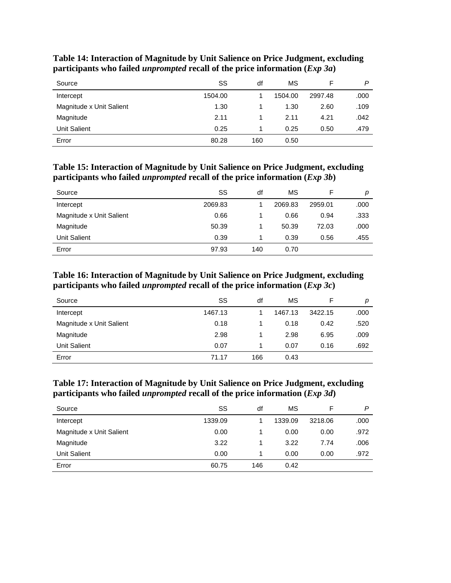| Source                   | SS      | df  | MS      |         | P    |
|--------------------------|---------|-----|---------|---------|------|
| Intercept                | 1504.00 |     | 1504.00 | 2997.48 | .000 |
| Magnitude x Unit Salient | 1.30    |     | 1.30    | 2.60    | .109 |
| Magnitude                | 2.11    |     | 2.11    | 4.21    | .042 |
| <b>Unit Salient</b>      | 0.25    |     | 0.25    | 0.50    | .479 |
| Error                    | 80.28   | 160 | 0.50    |         |      |

**Table 14: Interaction of Magnitude by Unit Salience on Price Judgment, excluding participants who failed** *unprompted* **recall of the price information (***Exp 3a***)**

**Table 15: Interaction of Magnitude by Unit Salience on Price Judgment, excluding participants who failed** *unprompted* **recall of the price information (***Exp 3b***)**

| Source                   | SS      | df  | MS      |         | р    |
|--------------------------|---------|-----|---------|---------|------|
| Intercept                | 2069.83 |     | 2069.83 | 2959.01 | .000 |
| Magnitude x Unit Salient | 0.66    |     | 0.66    | 0.94    | .333 |
| Magnitude                | 50.39   |     | 50.39   | 72.03   | .000 |
| <b>Unit Salient</b>      | 0.39    |     | 0.39    | 0.56    | .455 |
| Error                    | 97.93   | 140 | 0.70    |         |      |

**Table 16: Interaction of Magnitude by Unit Salience on Price Judgment, excluding participants who failed** *unprompted* **recall of the price information (***Exp 3c***)**

| Source                   | SS      | df  | MS      |         | р    |
|--------------------------|---------|-----|---------|---------|------|
| Intercept                | 1467.13 |     | 1467.13 | 3422.15 | .000 |
| Magnitude x Unit Salient | 0.18    |     | 0.18    | 0.42    | .520 |
| Magnitude                | 2.98    |     | 2.98    | 6.95    | .009 |
| <b>Unit Salient</b>      | 0.07    |     | 0.07    | 0.16    | .692 |
| Error                    | 71.17   | 166 | 0.43    |         |      |

#### **Table 17: Interaction of Magnitude by Unit Salience on Price Judgment, excluding participants who failed** *unprompted* **recall of the price information (***Exp 3d***)**

| Source                   | SS      | df  | MS      |         | P    |
|--------------------------|---------|-----|---------|---------|------|
| Intercept                | 1339.09 |     | 1339.09 | 3218.06 | .000 |
| Magnitude x Unit Salient | 0.00    |     | 0.00    | 0.00    | .972 |
| Magnitude                | 3.22    |     | 3.22    | 7.74    | .006 |
| <b>Unit Salient</b>      | 0.00    |     | 0.00    | 0.00    | .972 |
| Error                    | 60.75   | 146 | 0.42    |         |      |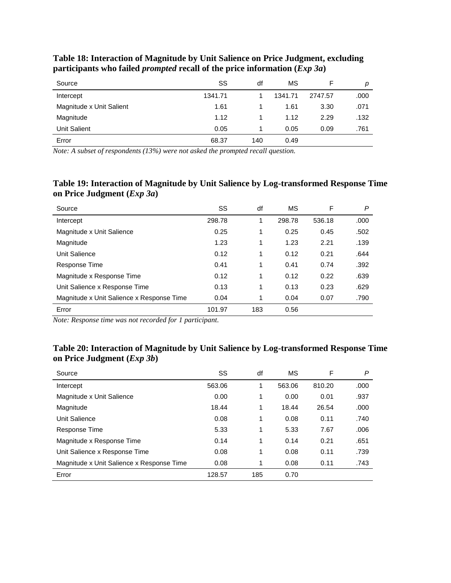| Source                   | SS      | df  | MS      |         | p    |
|--------------------------|---------|-----|---------|---------|------|
| Intercept                | 1341.71 |     | 1341.71 | 2747.57 | .000 |
| Magnitude x Unit Salient | 1.61    |     | 1.61    | 3.30    | .071 |
| Magnitude                | 1.12    |     | 1.12    | 2.29    | .132 |
| <b>Unit Salient</b>      | 0.05    |     | 0.05    | 0.09    | .761 |
| Error                    | 68.37   | 140 | 0.49    |         |      |

**Table 18: Interaction of Magnitude by Unit Salience on Price Judgment, excluding participants who failed** *prompted* **recall of the price information (***Exp 3a***)**

*Note: A subset of respondents (13%) were not asked the prompted recall question.*

## **Table 19: Interaction of Magnitude by Unit Salience by Log-transformed Response Time on Price Judgment (***Exp 3a***)**

| Source                                    | SS     | df  | MS     | F      | P    |
|-------------------------------------------|--------|-----|--------|--------|------|
| Intercept                                 | 298.78 | 1   | 298.78 | 536.18 | .000 |
| Magnitude x Unit Salience                 | 0.25   | 1   | 0.25   | 0.45   | .502 |
| Magnitude                                 | 1.23   | 1   | 1.23   | 2.21   | .139 |
| Unit Salience                             | 0.12   | 1   | 0.12   | 0.21   | .644 |
| Response Time                             | 0.41   | 1   | 0.41   | 0.74   | .392 |
| Magnitude x Response Time                 | 0.12   | 1   | 0.12   | 0.22   | .639 |
| Unit Salience x Response Time             | 0.13   | 1   | 0.13   | 0.23   | .629 |
| Magnitude x Unit Salience x Response Time | 0.04   | 1   | 0.04   | 0.07   | .790 |
| Error                                     | 101.97 | 183 | 0.56   |        |      |

*Note: Response time was not recorded for 1 participant.*

# **Table 20: Interaction of Magnitude by Unit Salience by Log-transformed Response Time on Price Judgment (***Exp 3b***)**

| Source                                    | SS     | df  | MS     | F      | P    |
|-------------------------------------------|--------|-----|--------|--------|------|
| Intercept                                 | 563.06 | 1   | 563.06 | 810.20 | .000 |
| Magnitude x Unit Salience                 | 0.00   | 1   | 0.00   | 0.01   | .937 |
| Magnitude                                 | 18.44  | 1   | 18.44  | 26.54  | .000 |
| Unit Salience                             | 0.08   | 1   | 0.08   | 0.11   | .740 |
| Response Time                             | 5.33   | 1   | 5.33   | 7.67   | .006 |
| Magnitude x Response Time                 | 0.14   | 1   | 0.14   | 0.21   | .651 |
| Unit Salience x Response Time             | 0.08   | 1   | 0.08   | 0.11   | .739 |
| Magnitude x Unit Salience x Response Time | 0.08   | 1   | 0.08   | 0.11   | .743 |
| Error                                     | 128.57 | 185 | 0.70   |        |      |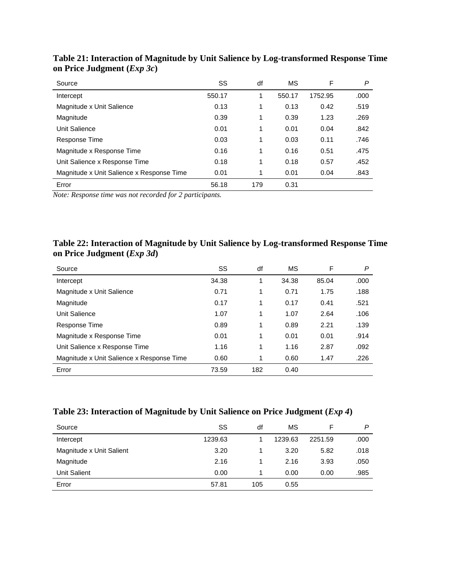| Source                                    | SS     | df  | MS     | F       | P    |
|-------------------------------------------|--------|-----|--------|---------|------|
| Intercept                                 | 550.17 | 1   | 550.17 | 1752.95 | .000 |
| Magnitude x Unit Salience                 | 0.13   | 1   | 0.13   | 0.42    | .519 |
| Magnitude                                 | 0.39   | 1   | 0.39   | 1.23    | .269 |
| Unit Salience                             | 0.01   | 1   | 0.01   | 0.04    | .842 |
| Response Time                             | 0.03   | 1   | 0.03   | 0.11    | .746 |
| Magnitude x Response Time                 | 0.16   | 1   | 0.16   | 0.51    | .475 |
| Unit Salience x Response Time             | 0.18   | 1   | 0.18   | 0.57    | .452 |
| Magnitude x Unit Salience x Response Time | 0.01   | 1   | 0.01   | 0.04    | .843 |
| Error                                     | 56.18  | 179 | 0.31   |         |      |

**Table 21: Interaction of Magnitude by Unit Salience by Log-transformed Response Time on Price Judgment (***Exp 3c***)**

*Note: Response time was not recorded for 2 participants.*

# **Table 22: Interaction of Magnitude by Unit Salience by Log-transformed Response Time on Price Judgment (***Exp 3d***)**

| Source                                    | SS    | df  | MS    | F     | P    |
|-------------------------------------------|-------|-----|-------|-------|------|
| Intercept                                 | 34.38 | 1   | 34.38 | 85.04 | .000 |
| Magnitude x Unit Salience                 | 0.71  | 1   | 0.71  | 1.75  | .188 |
| Magnitude                                 | 0.17  | 1   | 0.17  | 0.41  | .521 |
| Unit Salience                             | 1.07  | 1   | 1.07  | 2.64  | .106 |
| Response Time                             | 0.89  | 1   | 0.89  | 2.21  | .139 |
| Magnitude x Response Time                 | 0.01  | 1   | 0.01  | 0.01  | .914 |
| Unit Salience x Response Time             | 1.16  | 1   | 1.16  | 2.87  | .092 |
| Magnitude x Unit Salience x Response Time | 0.60  | 1   | 0.60  | 1.47  | .226 |
| Error                                     | 73.59 | 182 | 0.40  |       |      |

| Table 23: Interaction of Magnitude by Unit Salience on Price Judgment ( <i>Exp 4</i> ) |  |
|----------------------------------------------------------------------------------------|--|
|----------------------------------------------------------------------------------------|--|

| Source                   | SS      | df  | MS      |         | P    |
|--------------------------|---------|-----|---------|---------|------|
| Intercept                | 1239.63 |     | 1239.63 | 2251.59 | .000 |
| Magnitude x Unit Salient | 3.20    |     | 3.20    | 5.82    | .018 |
| Magnitude                | 2.16    |     | 2.16    | 3.93    | .050 |
| <b>Unit Salient</b>      | 0.00    |     | 0.00    | 0.00    | .985 |
| Error                    | 57.81   | 105 | 0.55    |         |      |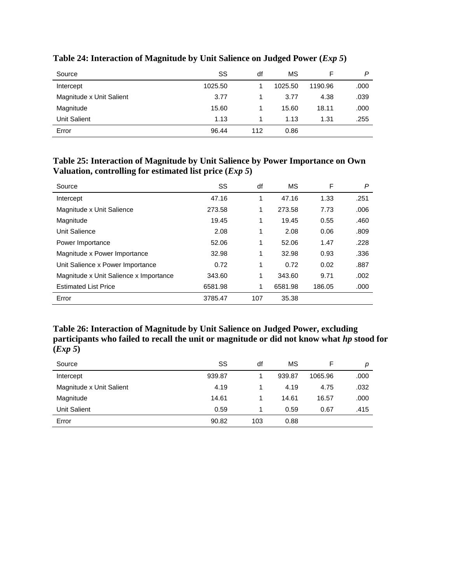| Source                   | SS      | df  | MS      |         | P    |
|--------------------------|---------|-----|---------|---------|------|
| Intercept                | 1025.50 |     | 1025.50 | 1190.96 | .000 |
| Magnitude x Unit Salient | 3.77    |     | 3.77    | 4.38    | .039 |
| Magnitude                | 15.60   |     | 15.60   | 18.11   | .000 |
| <b>Unit Salient</b>      | 1.13    |     | 1.13    | 1.31    | .255 |
| Error                    | 96.44   | 112 | 0.86    |         |      |

# **Table 24: Interaction of Magnitude by Unit Salience on Judged Power (***Exp 5***)**

#### **Table 25: Interaction of Magnitude by Unit Salience by Power Importance on Own Valuation, controlling for estimated list price (***Exp 5***)**

| Source                                 | SS      | df  | МS      | F      | P    |
|----------------------------------------|---------|-----|---------|--------|------|
| Intercept                              | 47.16   | 1   | 47.16   | 1.33   | .251 |
| Magnitude x Unit Salience              | 273.58  | 1   | 273.58  | 7.73   | .006 |
| Magnitude                              | 19.45   | 1   | 19.45   | 0.55   | .460 |
| Unit Salience                          | 2.08    | 1   | 2.08    | 0.06   | .809 |
| Power Importance                       | 52.06   | 1   | 52.06   | 1.47   | .228 |
| Magnitude x Power Importance           | 32.98   | 1   | 32.98   | 0.93   | .336 |
| Unit Salience x Power Importance       | 0.72    | 1   | 0.72    | 0.02   | .887 |
| Magnitude x Unit Salience x Importance | 343.60  | 1   | 343.60  | 9.71   | .002 |
| <b>Estimated List Price</b>            | 6581.98 | 1   | 6581.98 | 186.05 | .000 |
| Error                                  | 3785.47 | 107 | 35.38   |        |      |

# **Table 26: Interaction of Magnitude by Unit Salience on Judged Power, excluding participants who failed to recall the unit or magnitude or did not know what** *hp* **stood for**   $(Exp 5)$

| Source                   | SS     | df  | ΜS     |         | p    |
|--------------------------|--------|-----|--------|---------|------|
| Intercept                | 939.87 |     | 939.87 | 1065.96 | .000 |
| Magnitude x Unit Salient | 4.19   |     | 4.19   | 4.75    | .032 |
| Magnitude                | 14.61  |     | 14.61  | 16.57   | .000 |
| <b>Unit Salient</b>      | 0.59   |     | 0.59   | 0.67    | .415 |
| Error                    | 90.82  | 103 | 0.88   |         |      |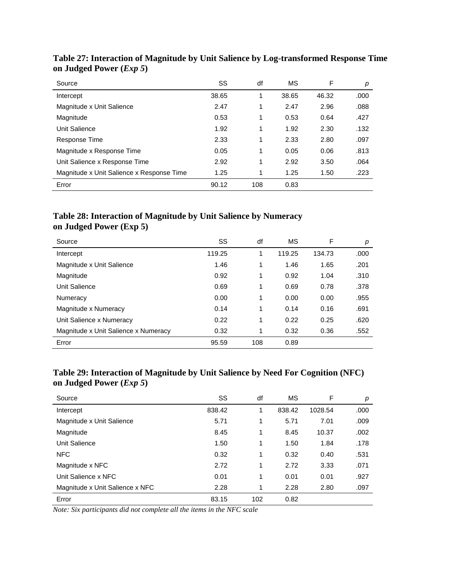| Source                                    | SS    | df  | МS    | F     | р    |
|-------------------------------------------|-------|-----|-------|-------|------|
| Intercept                                 | 38.65 | 1   | 38.65 | 46.32 | .000 |
| Magnitude x Unit Salience                 | 2.47  | 1   | 2.47  | 2.96  | .088 |
| Magnitude                                 | 0.53  | 1   | 0.53  | 0.64  | .427 |
| Unit Salience                             | 1.92  | 1   | 1.92  | 2.30  | .132 |
| Response Time                             | 2.33  | 1   | 2.33  | 2.80  | .097 |
| Magnitude x Response Time                 | 0.05  | 1   | 0.05  | 0.06  | .813 |
| Unit Salience x Response Time             | 2.92  | 1   | 2.92  | 3.50  | .064 |
| Magnitude x Unit Salience x Response Time | 1.25  | 1   | 1.25  | 1.50  | .223 |
| Error                                     | 90.12 | 108 | 0.83  |       |      |

**Table 27: Interaction of Magnitude by Unit Salience by Log-transformed Response Time on Judged Power (***Exp 5***)**

# **Table 28: Interaction of Magnitude by Unit Salience by Numeracy on Judged Power (Exp 5)**

| Source                               | SS     | df  | МS     | F      | р    |
|--------------------------------------|--------|-----|--------|--------|------|
| Intercept                            | 119.25 | 1   | 119.25 | 134.73 | .000 |
| Magnitude x Unit Salience            | 1.46   | 1   | 1.46   | 1.65   | .201 |
| Magnitude                            | 0.92   | 1   | 0.92   | 1.04   | .310 |
| Unit Salience                        | 0.69   | 1   | 0.69   | 0.78   | .378 |
| Numeracy                             | 0.00   | 1   | 0.00   | 0.00   | .955 |
| Magnitude x Numeracy                 | 0.14   | 1   | 0.14   | 0.16   | .691 |
| Unit Salience x Numeracy             | 0.22   | 1   | 0.22   | 0.25   | .620 |
| Magnitude x Unit Salience x Numeracy | 0.32   | 1   | 0.32   | 0.36   | .552 |
| Error                                | 95.59  | 108 | 0.89   |        |      |

# **Table 29: Interaction of Magnitude by Unit Salience by Need For Cognition (NFC) on Judged Power (***Exp 5***)**

| Source                          | SS     | df  | МS     | F       | р    |
|---------------------------------|--------|-----|--------|---------|------|
| Intercept                       | 838.42 | 1   | 838.42 | 1028.54 | .000 |
| Magnitude x Unit Salience       | 5.71   | 1   | 5.71   | 7.01    | .009 |
| Magnitude                       | 8.45   | 1   | 8.45   | 10.37   | .002 |
| Unit Salience                   | 1.50   | 1   | 1.50   | 1.84    | .178 |
| <b>NFC</b>                      | 0.32   | 1   | 0.32   | 0.40    | .531 |
| Magnitude x NFC                 | 2.72   | 1   | 2.72   | 3.33    | .071 |
| Unit Salience x NFC             | 0.01   | 1   | 0.01   | 0.01    | .927 |
| Magnitude x Unit Salience x NFC | 2.28   | 1   | 2.28   | 2.80    | .097 |
| Error                           | 83.15  | 102 | 0.82   |         |      |

*Note: Six participants did not complete all the items in the NFC scale*